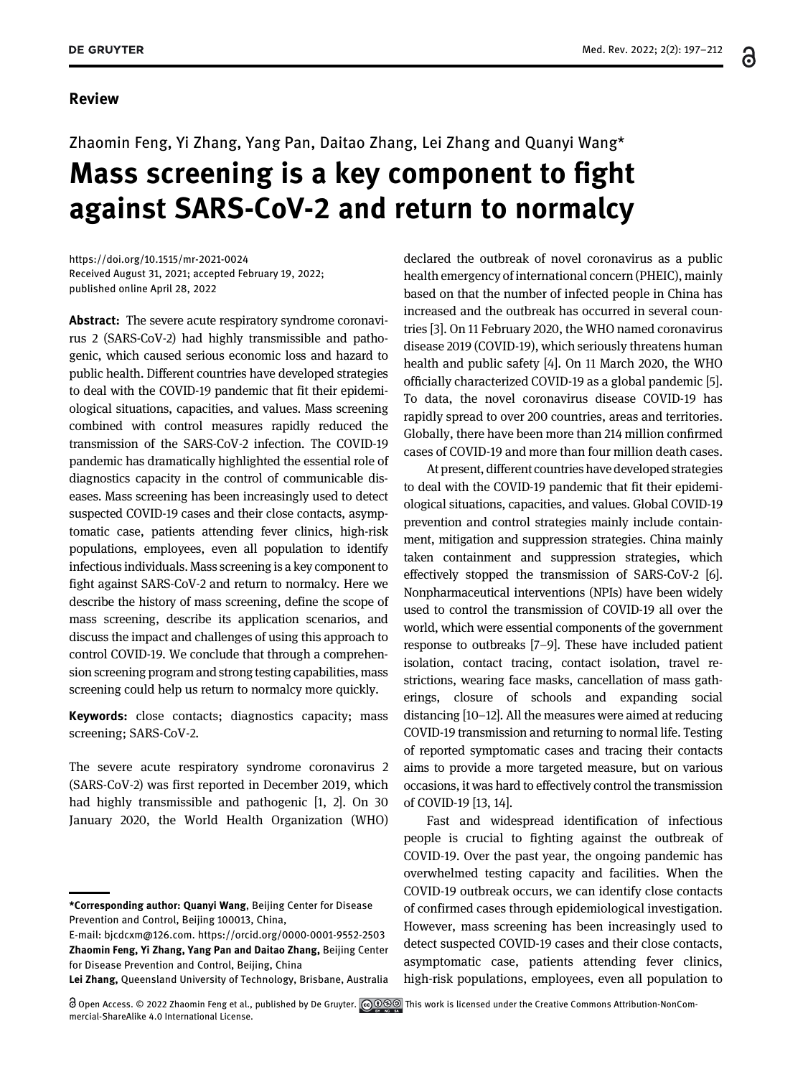႕

#### Review

# Zhaomin Feng, Yi Zhang, Yang Pan, Daitao Zhang, Lei Zhang and Quanyi Wang\* Mass screening is a key component to fight against SARS-CoV-2 and return to normalcy

<https://doi.org/10.1515/mr-2021-0024> Received August 31, 2021; accepted February 19, 2022; published online April 28, 2022

Abstract: The severe acute respiratory syndrome coronavirus 2 (SARS-CoV-2) had highly transmissible and pathogenic, which caused serious economic loss and hazard to public health. Different countries have developed strategies to deal with the COVID-19 pandemic that fit their epidemiological situations, capacities, and values. Mass screening combined with control measures rapidly reduced the transmission of the SARS-CoV-2 infection. The COVID-19 pandemic has dramatically highlighted the essential role of diagnostics capacity in the control of communicable diseases. Mass screening has been increasingly used to detect suspected COVID-19 cases and their close contacts, asymptomatic case, patients attending fever clinics, high-risk populations, employees, even all population to identify infectious individuals. Mass screening is a key component to fight against SARS-CoV-2 and return to normalcy. Here we describe the history of mass screening, define the scope of mass screening, describe its application scenarios, and discuss the impact and challenges of using this approach to control COVID-19. We conclude that through a comprehension screening program and strong testing capabilities, mass screening could help us return to normalcy more quickly.

Keywords: close contacts; diagnostics capacity; mass screening; SARS-CoV-2.

The severe acute respiratory syndrome coronavirus 2 (SARS-CoV-2) was first reported in December 2019, which had highly transmissible and pathogenic [\[1](#page-12-0), [2\]](#page-12-1). On 30 January 2020, the World Health Organization (WHO)

Lei Zhang, Queensland University of Technology, Brisbane, Australia

declared the outbreak of novel coronavirus as a public health emergency of international concern (PHEIC), mainly based on that the number of infected people in China has increased and the outbreak has occurred in several countries [[3](#page-12-2)]. On 11 February 2020, the WHO named coronavirus disease 2019 (COVID-19), which seriously threatens human health and public safety [[4\]](#page-12-3). On 11 March 2020, the WHO officially characterized COVID-19 as a global pandemic [\[5\]](#page-13-0). To data, the novel coronavirus disease COVID-19 has rapidly spread to over 200 countries, areas and territories. Globally, there have been more than 214 million confirmed cases of COVID-19 and more than four million death cases.

At present, different countries have developed strategies to deal with the COVID-19 pandemic that fit their epidemiological situations, capacities, and values. Global COVID-19 prevention and control strategies mainly include containment, mitigation and suppression strategies. China mainly taken containment and suppression strategies, which effectively stopped the transmission of SARS-CoV-2 [\[6\]](#page-13-1). Nonpharmaceutical interventions (NPIs) have been widely used to control the transmission of COVID-19 all over the world, which were essential components of the government response to outbreaks [7[–](#page-13-2)9]. These have included patient isolation, contact tracing, contact isolation, travel restrictions, wearing face masks, cancellation of mass gatherings, closure of schools and expanding social distancing [[10](#page-13-3)–12]. All the measures were aimed at reducing COVID-19 transmission and returning to normal life. Testing of reported symptomatic cases and tracing their contacts aims to provide a more targeted measure, but on various occasions, it was hard to effectively control the transmission of COVID-19 [\[13](#page-13-4), [14\]](#page-13-5).

Fast and widespread identification of infectious people is crucial to fighting against the outbreak of COVID-19. Over the past year, the ongoing pandemic has overwhelmed testing capacity and facilities. When the COVID-19 outbreak occurs, we can identify close contacts of confirmed cases through epidemiological investigation. However, mass screening has been increasingly used to detect suspected COVID-19 cases and their close contacts, asymptomatic case, patients attending fever clinics, high-risk populations, employees, even all population to

<sup>\*</sup>Corresponding author: Quanyi Wang, Beijing Center for Disease Prevention and Control, Beijing 100013, China,

E-mail: [bjcdcxm@126.com.](mailto:bjcdcxm@126.com)<https://orcid.org/0000-0001-9552-2503> Zhaomin Feng, Yi Zhang, Yang Pan and Daitao Zhang, Beijing Center for Disease Prevention and Control, Beijing, China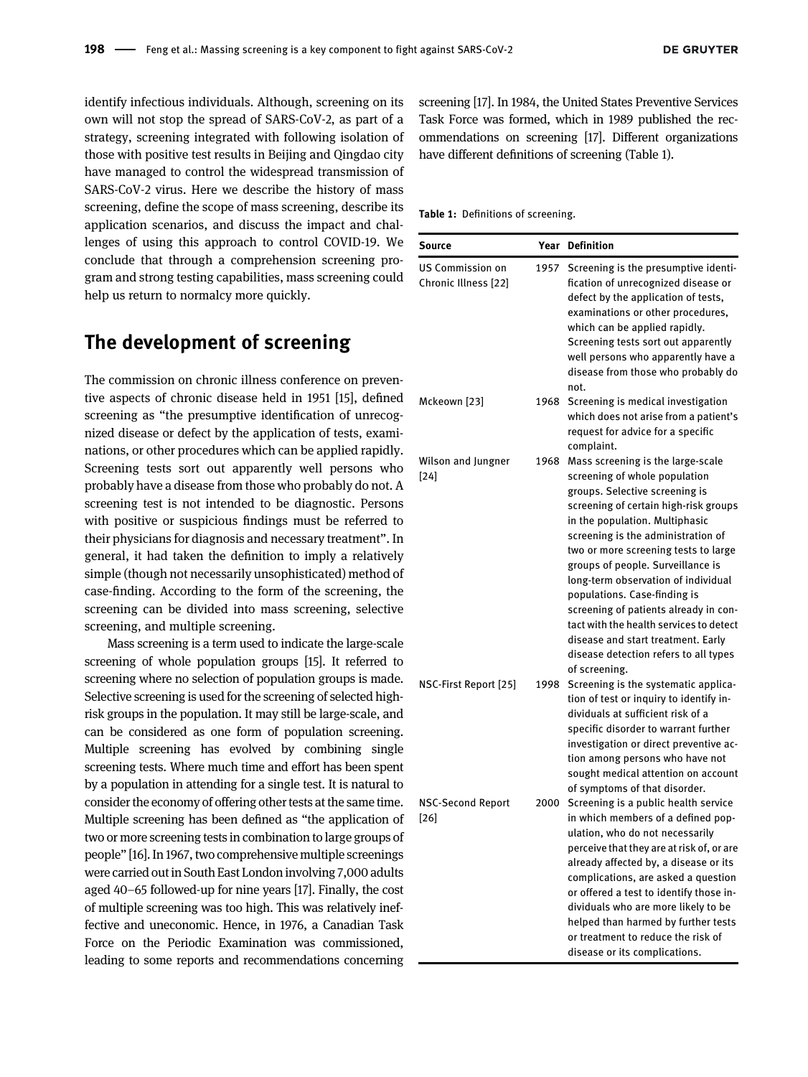identify infectious individuals. Although, screening on its own will not stop the spread of SARS-CoV-2, as part of a strategy, screening integrated with following isolation of those with positive test results in Beijing and Qingdao city have managed to control the widespread transmission of SARS-CoV-2 virus. Here we describe the history of mass screening, define the scope of mass screening, describe its application scenarios, and discuss the impact and challenges of using this approach to control COVID-19. We conclude that through a comprehension screening program and strong testing capabilities, mass screening could help us return to normalcy more quickly.

### The development of screening

The commission on chronic illness conference on preventive aspects of chronic disease held in 1951 [[15](#page-13-6)], defined screening as "the presumptive identification of unrecognized disease or defect by the application of tests, examinations, or other procedures which can be applied rapidly. Screening tests sort out apparently well persons who probably have a disease from those who probably do not. A screening test is not intended to be diagnostic. Persons with positive or suspicious findings must be referred to their physicians for diagnosis and necessary treatment". In general, it had taken the definition to imply a relatively simple (though not necessarily unsophisticated) method of case-finding. According to the form of the screening, the screening can be divided into mass screening, selective screening, and multiple screening.

Mass screening is a term used to indicate the large-scale screening of whole population groups [\[15](#page-13-6)]. It referred to screening where no selection of population groups is made. Selective screening is used for the screening of selected highrisk groups in the population. It may still be large-scale, and can be considered as one form of population screening. Multiple screening has evolved by combining single screening tests. Where much time and effort has been spent by a population in attending for a single test. It is natural to consider the economy of offering other tests at the same time. Multiple screening has been defined as "the application of two or more screening tests in combination to large groups of people" [\[16\]](#page-13-7). In 1967, two comprehensive multiple screenings were carried out in South East London involving 7,000 adults aged 40–65 followed-up for nine years [\[17](#page-13-8)]. Finally, the cost of multiple screening was too high. This was relatively ineffective and uneconomic. Hence, in 1976, a Canadian Task Force on the Periodic Examination was commissioned, leading to some reports and recommendations concerning

screening [[17\]](#page-13-8). In 1984, the United States Preventive Services Task Force was formed, which in 1989 published the recommendations on screening [\[17](#page-13-8)]. Different organizations have different definitions of screening ([Table 1\)](#page-1-0).

<span id="page-1-0"></span>Table 1: Definitions of screening.

| Source                                          |      | <b>Year Definition</b>                                                                                                                                                                                                                                                                                                                                                                                                                                                                                                                                        |
|-------------------------------------------------|------|---------------------------------------------------------------------------------------------------------------------------------------------------------------------------------------------------------------------------------------------------------------------------------------------------------------------------------------------------------------------------------------------------------------------------------------------------------------------------------------------------------------------------------------------------------------|
| <b>US Commission on</b><br>Chronic Illness [22] | 1957 | Screening is the presumptive identi-<br>fication of unrecognized disease or<br>defect by the application of tests,<br>examinations or other procedures,<br>which can be applied rapidly.<br>Screening tests sort out apparently<br>well persons who apparently have a<br>disease from those who probably do<br>not.                                                                                                                                                                                                                                           |
| Mckeown [23]                                    | 1968 | Screening is medical investigation<br>which does not arise from a patient's<br>request for advice for a specific<br>complaint.                                                                                                                                                                                                                                                                                                                                                                                                                                |
| Wilson and Jungner<br>$[24]$                    | 1968 | Mass screening is the large-scale<br>screening of whole population<br>groups. Selective screening is<br>screening of certain high-risk groups<br>in the population. Multiphasic<br>screening is the administration of<br>two or more screening tests to large<br>groups of people. Surveillance is<br>long-term observation of individual<br>populations. Case-finding is<br>screening of patients already in con-<br>tact with the health services to detect<br>disease and start treatment. Early<br>disease detection refers to all types<br>of screening. |
| NSC-First Report [25]                           | 1998 | Screening is the systematic applica-<br>tion of test or inquiry to identify in-<br>dividuals at sufficient risk of a<br>specific disorder to warrant further<br>investigation or direct preventive ac-<br>tion among persons who have not<br>sought medical attention on account<br>of symptoms of that disorder.                                                                                                                                                                                                                                             |
| <b>NSC-Second Report</b><br>$[26]$              | 2000 | Screening is a public health service<br>in which members of a defined pop-<br>ulation, who do not necessarily<br>perceive that they are at risk of, or are<br>already affected by, a disease or its<br>complications, are asked a question<br>or offered a test to identify those in-<br>dividuals who are more likely to be<br>helped than harmed by further tests<br>or treatment to reduce the risk of<br>disease or its complications.                                                                                                                    |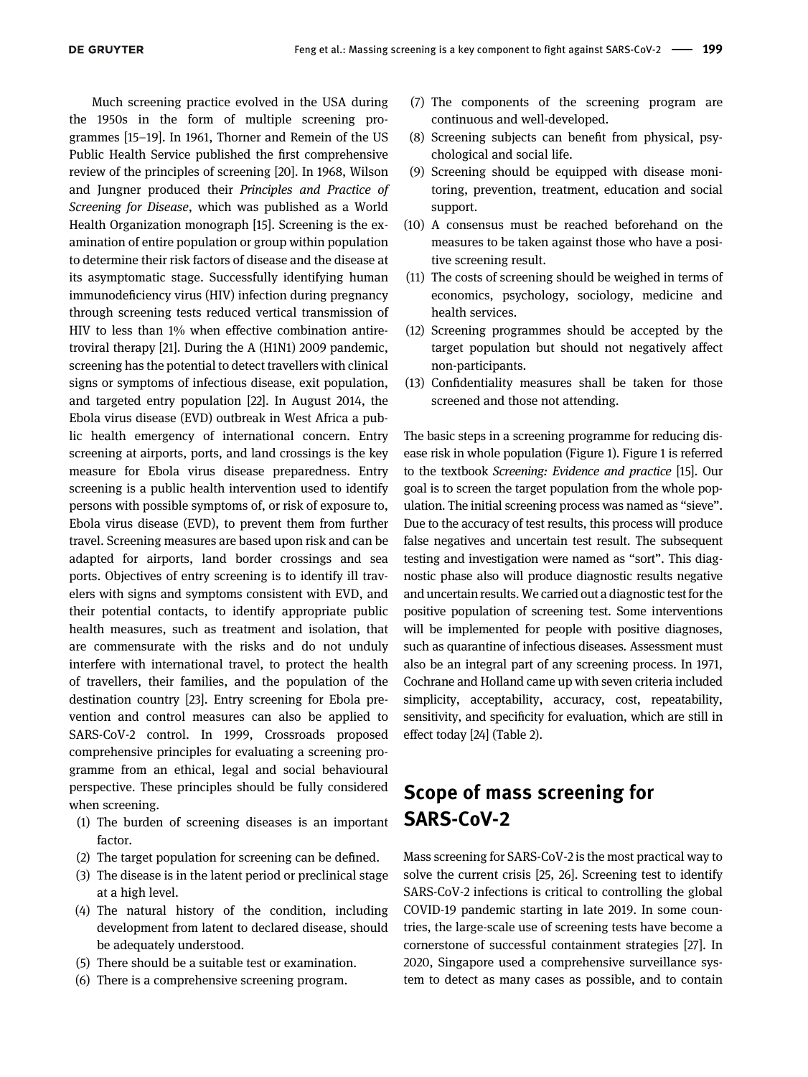Much screening practice evolved in the USA during the 1950s in the form of multiple screening programmes [15–[19\]](#page-13-6). In 1961, Thorner and Remein of the US Public Health Service published the first comprehensive review of the principles of screening [\[20\]](#page-13-14). In 1968, Wilson and Jungner produced their Principles and Practice of Screening for Disease, which was published as a World Health Organization monograph [\[15](#page-13-6)]. Screening is the examination of entire population or group within population to determine their risk factors of disease and the disease at its asymptomatic stage. Successfully identifying human immunodeficiency virus (HIV) infection during pregnancy through screening tests reduced vertical transmission of HIV to less than 1% when effective combination antiretroviral therapy [[21\]](#page-13-15). During the A (H1N1) 2009 pandemic, screening has the potential to detect travellers with clinical signs or symptoms of infectious disease, exit population, and targeted entry population [[22](#page-13-9)]. In August 2014, the Ebola virus disease (EVD) outbreak in West Africa a public health emergency of international concern. Entry screening at airports, ports, and land crossings is the key measure for Ebola virus disease preparedness. Entry screening is a public health intervention used to identify persons with possible symptoms of, or risk of exposure to, Ebola virus disease (EVD), to prevent them from further travel. Screening measures are based upon risk and can be adapted for airports, land border crossings and sea ports. Objectives of entry screening is to identify ill travelers with signs and symptoms consistent with EVD, and their potential contacts, to identify appropriate public health measures, such as treatment and isolation, that are commensurate with the risks and do not unduly interfere with international travel, to protect the health of travellers, their families, and the population of the destination country [\[23](#page-13-10)]. Entry screening for Ebola prevention and control measures can also be applied to SARS-CoV-2 control. In 1999, Crossroads proposed comprehensive principles for evaluating a screening programme from an ethical, legal and social behavioural perspective. These principles should be fully considered when screening.

- (1) The burden of screening diseases is an important factor.
- (2) The target population for screening can be defined.
- (3) The disease is in the latent period or preclinical stage at a high level.
- (4) The natural history of the condition, including development from latent to declared disease, should be adequately understood.
- (5) There should be a suitable test or examination.
- (6) There is a comprehensive screening program.
- (7) The components of the screening program are continuous and well-developed.
- (8) Screening subjects can benefit from physical, psychological and social life.
- (9) Screening should be equipped with disease monitoring, prevention, treatment, education and social support.
- (10) A consensus must be reached beforehand on the measures to be taken against those who have a positive screening result.
- (11) The costs of screening should be weighed in terms of economics, psychology, sociology, medicine and health services.
- (12) Screening programmes should be accepted by the target population but should not negatively affect non-participants.
- (13) Confidentiality measures shall be taken for those screened and those not attending.

The basic steps in a screening programme for reducing disease risk in whole population [\(Figure 1](#page-3-0)). [Figure 1](#page-3-0) is referred to the textbook Screening: Evidence and practice [\[15](#page-13-6)]. Our goal is to screen the target population from the whole population. The initial screening process was named as "sieve". Due to the accuracy of test results, this process will produce false negatives and uncertain test result. The subsequent testing and investigation were named as "sort". This diagnostic phase also will produce diagnostic results negative and uncertain results. We carried out a diagnostic test for the positive population of screening test. Some interventions will be implemented for people with positive diagnoses, such as quarantine of infectious diseases. Assessment must also be an integral part of any screening process. In 1971, Cochrane and Holland came up with seven criteria included simplicity, acceptability, accuracy, cost, repeatability, sensitivity, and specificity for evaluation, which are still in effect today [\[24](#page-13-11)] [\(Table 2](#page-3-1)).

## Scope of mass screening for SARS-CoV-2

Mass screening for SARS-CoV-2 is the most practical way to solve the current crisis [\[25](#page-13-12), [26](#page-13-13)]. Screening test to identify SARS-CoV-2 infections is critical to controlling the global COVID-19 pandemic starting in late 2019. In some countries, the large-scale use of screening tests have become a cornerstone of successful containment strategies [[27](#page-13-16)]. In 2020, Singapore used a comprehensive surveillance system to detect as many cases as possible, and to contain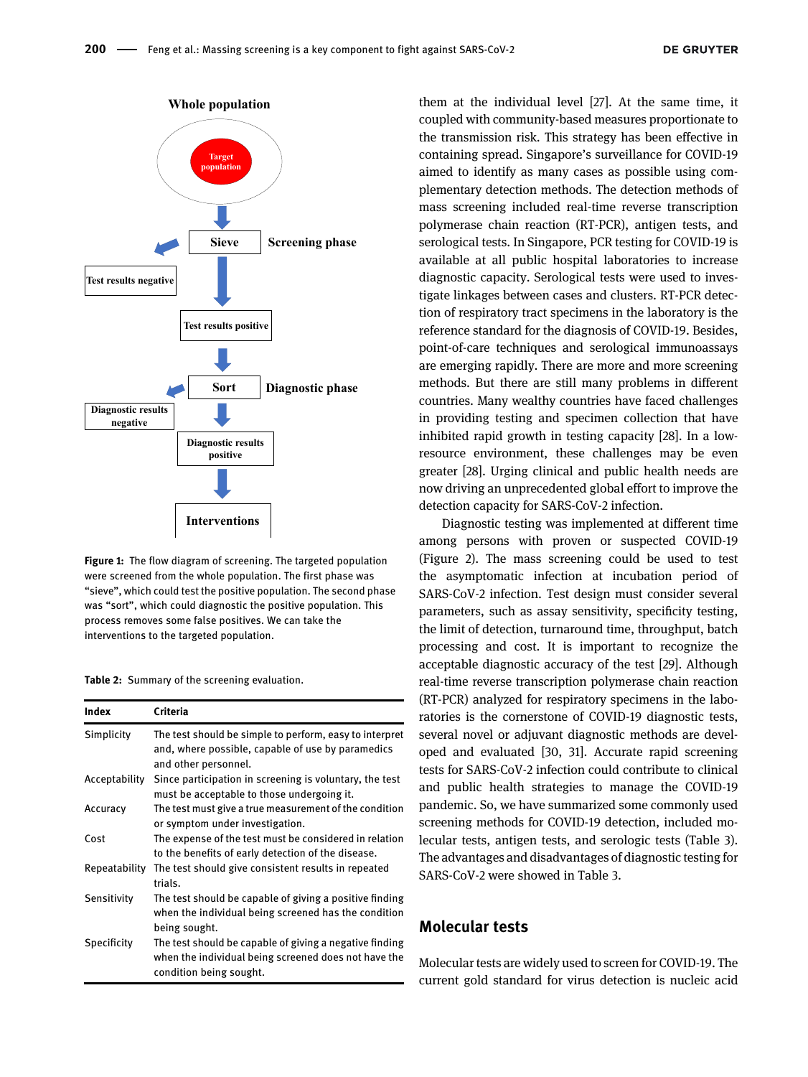

<span id="page-3-0"></span>Figure 1: The flow diagram of screening. The targeted population were screened from the whole population. The first phase was "sieve", which could test the positive population. The second phase was "sort", which could diagnostic the positive population. This process removes some false positives. We can take the interventions to the targeted population.

<span id="page-3-1"></span>Table 2: Summary of the screening evaluation.

| Index         | Criteria                                                                                                                                   |
|---------------|--------------------------------------------------------------------------------------------------------------------------------------------|
| Simplicity    | The test should be simple to perform, easy to interpret<br>and, where possible, capable of use by paramedics<br>and other personnel.       |
| Acceptability | Since participation in screening is voluntary, the test<br>must be acceptable to those undergoing it.                                      |
| Accuracy      | The test must give a true measurement of the condition<br>or symptom under investigation.                                                  |
| Cost          | The expense of the test must be considered in relation<br>to the benefits of early detection of the disease.                               |
| Repeatability | The test should give consistent results in repeated<br>trials.                                                                             |
| Sensitivity   | The test should be capable of giving a positive finding<br>when the individual being screened has the condition<br>being sought.           |
| Specificity   | The test should be capable of giving a negative finding<br>when the individual being screened does not have the<br>condition being sought. |

them at the individual level [\[27](#page-13-16)]. At the same time, it coupled with community-based measures proportionate to the transmission risk. This strategy has been effective in containing spread. Singapore's surveillance for COVID-19 aimed to identify as many cases as possible using complementary detection methods. The detection methods of mass screening included real-time reverse transcription polymerase chain reaction (RT-PCR), antigen tests, and serological tests. In Singapore, PCR testing for COVID-19 is available at all public hospital laboratories to increase diagnostic capacity. Serological tests were used to investigate linkages between cases and clusters. RT-PCR detection of respiratory tract specimens in the laboratory is the reference standard for the diagnosis of COVID-19. Besides, point-of-care techniques and serological immunoassays are emerging rapidly. There are more and more screening methods. But there are still many problems in different countries. Many wealthy countries have faced challenges in providing testing and specimen collection that have inhibited rapid growth in testing capacity [[28\]](#page-13-17). In a lowresource environment, these challenges may be even greater [[28\]](#page-13-17). Urging clinical and public health needs are now driving an unprecedented global effort to improve the detection capacity for SARS-CoV-2 infection.

Diagnostic testing was implemented at different time among persons with proven or suspected COVID-19 [\(Figure 2](#page-4-0)). The mass screening could be used to test the asymptomatic infection at incubation period of SARS-CoV-2 infection. Test design must consider several parameters, such as assay sensitivity, specificity testing, the limit of detection, turnaround time, throughput, batch processing and cost. It is important to recognize the acceptable diagnostic accuracy of the test [[29\]](#page-13-18). Although real-time reverse transcription polymerase chain reaction (RT-PCR) analyzed for respiratory specimens in the laboratories is the cornerstone of COVID-19 diagnostic tests, several novel or adjuvant diagnostic methods are developed and evaluated [[30,](#page-13-19) [31\]](#page-13-20). Accurate rapid screening tests for SARS-CoV-2 infection could contribute to clinical and public health strategies to manage the COVID-19 pandemic. So, we have summarized some commonly used screening methods for COVID-19 detection, included molecular tests, antigen tests, and serologic tests [\(Table 3\)](#page-4-1). The advantages and disadvantages of diagnostic testing for SARS-CoV-2 were showed in [Table 3.](#page-4-1)

#### Molecular tests

Molecular tests are widely used to screen for COVID-19. The current gold standard for virus detection is nucleic acid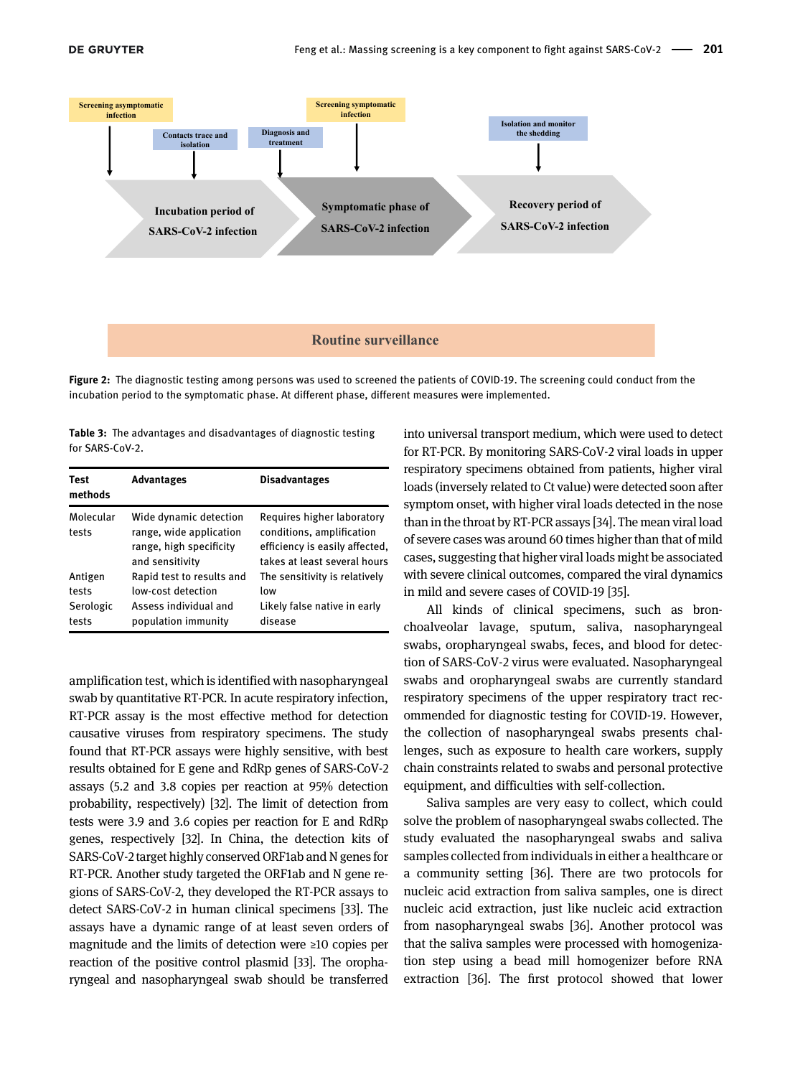

<span id="page-4-0"></span>Figure 2: The diagnostic testing among persons was used to screened the patients of COVID-19. The screening could conduct from the incubation period to the symptomatic phase. At different phase, different measures were implemented.

<span id="page-4-1"></span>Table 3: The advantages and disadvantages of diagnostic testing for SARS-CoV-2.

| Test<br>methods                        | <b>Advantages</b>                                                                               | <b>Disadvantages</b>                                                                                                      |
|----------------------------------------|-------------------------------------------------------------------------------------------------|---------------------------------------------------------------------------------------------------------------------------|
| Molecular<br>tests                     | Wide dynamic detection<br>range, wide application<br>range, high specificity<br>and sensitivity | Requires higher laboratory<br>conditions, amplification<br>efficiency is easily affected,<br>takes at least several hours |
| Antigen<br>tests<br>Serologic<br>tests | Rapid test to results and<br>low-cost detection<br>Assess individual and<br>population immunity | The sensitivity is relatively<br>low<br>Likely false native in early<br>disease                                           |

amplification test, which is identified with nasopharyngeal swab by quantitative RT-PCR. In acute respiratory infection, RT-PCR assay is the most effective method for detection causative viruses from respiratory specimens. The study found that RT-PCR assays were highly sensitive, with best results obtained for E gene and RdRp genes of SARS-CoV-2 assays (5.2 and 3.8 copies per reaction at 95% detection probability, respectively) [\[32\]](#page-13-21). The limit of detection from tests were 3.9 and 3.6 copies per reaction for E and RdRp genes, respectively [[32](#page-13-21)]. In China, the detection kits of SARS-CoV-2 target highly conserved ORF1ab and N genes for RT-PCR. Another study targeted the ORF1ab and N gene regions of SARS-CoV-2, they developed the RT-PCR assays to detect SARS-CoV-2 in human clinical specimens [[33\]](#page-13-22). The assays have a dynamic range of at least seven orders of magnitude and the limits of detection were ≥10 copies per reaction of the positive control plasmid [\[33](#page-13-22)]. The oropharyngeal and nasopharyngeal swab should be transferred

into universal transport medium, which were used to detect for RT-PCR. By monitoring SARS-CoV-2 viral loads in upper respiratory specimens obtained from patients, higher viral loads (inversely related to Ct value) were detected soon after symptom onset, with higher viral loads detected in the nose than in the throat by RT-PCR assays [[34\]](#page-13-23). The mean viral load of severe cases was around 60 times higher than that of mild cases, suggesting that higher viral loads might be associated with severe clinical outcomes, compared the viral dynamics in mild and severe cases of COVID-19 [[35](#page-13-24)].

All kinds of clinical specimens, such as bronchoalveolar lavage, sputum, saliva, nasopharyngeal swabs, oropharyngeal swabs, feces, and blood for detection of SARS-CoV-2 virus were evaluated. Nasopharyngeal swabs and oropharyngeal swabs are currently standard respiratory specimens of the upper respiratory tract recommended for diagnostic testing for COVID-19. However, the collection of nasopharyngeal swabs presents challenges, such as exposure to health care workers, supply chain constraints related to swabs and personal protective equipment, and difficulties with self-collection.

Saliva samples are very easy to collect, which could solve the problem of nasopharyngeal swabs collected. The study evaluated the nasopharyngeal swabs and saliva samples collected from individuals in either a healthcare or a community setting [[36](#page-13-25)]. There are two protocols for nucleic acid extraction from saliva samples, one is direct nucleic acid extraction, just like nucleic acid extraction from nasopharyngeal swabs [[36](#page-13-25)]. Another protocol was that the saliva samples were processed with homogenization step using a bead mill homogenizer before RNA extraction [\[36\]](#page-13-25). The first protocol showed that lower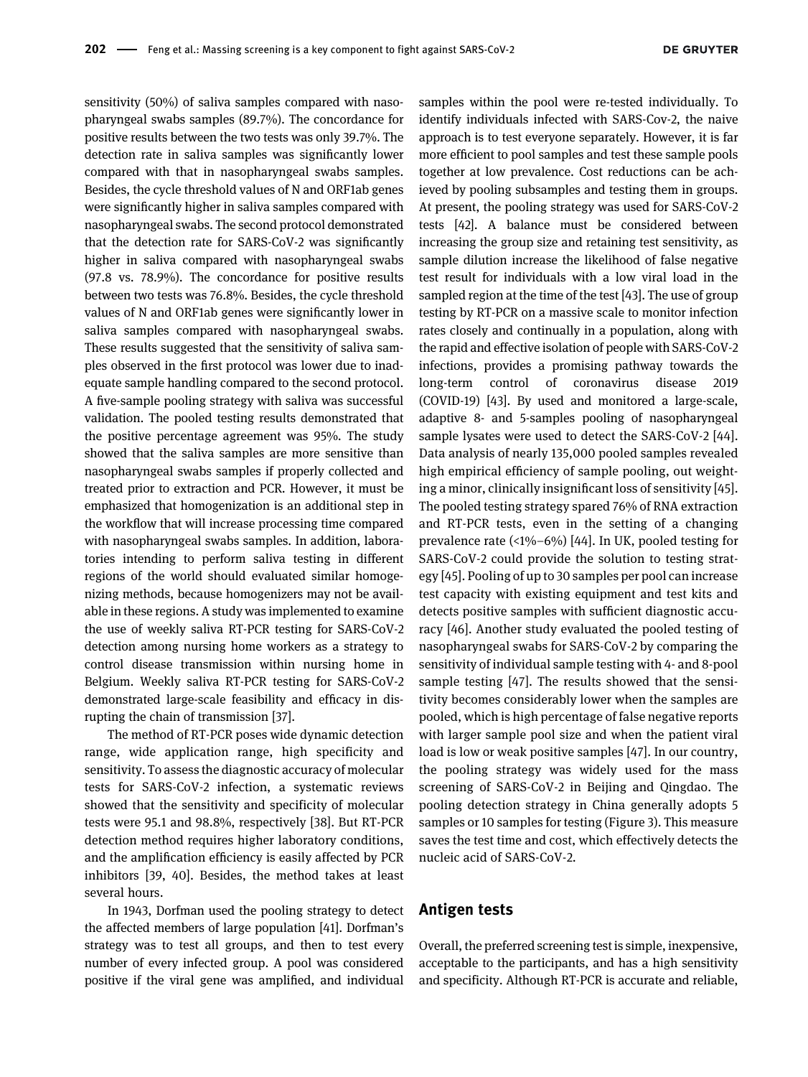sensitivity (50%) of saliva samples compared with nasopharyngeal swabs samples (89.7%). The concordance for positive results between the two tests was only 39.7%. The detection rate in saliva samples was significantly lower compared with that in nasopharyngeal swabs samples. Besides, the cycle threshold values of N and ORF1ab genes were significantly higher in saliva samples compared with nasopharyngeal swabs. The second protocol demonstrated that the detection rate for SARS-CoV-2 was significantly higher in saliva compared with nasopharyngeal swabs (97.8 vs. 78.9%). The concordance for positive results between two tests was 76.8%. Besides, the cycle threshold values of N and ORF1ab genes were significantly lower in saliva samples compared with nasopharyngeal swabs. These results suggested that the sensitivity of saliva samples observed in the first protocol was lower due to inadequate sample handling compared to the second protocol. A five-sample pooling strategy with saliva was successful validation. The pooled testing results demonstrated that the positive percentage agreement was 95%. The study showed that the saliva samples are more sensitive than nasopharyngeal swabs samples if properly collected and treated prior to extraction and PCR. However, it must be emphasized that homogenization is an additional step in the workflow that will increase processing time compared with nasopharyngeal swabs samples. In addition, laboratories intending to perform saliva testing in different regions of the world should evaluated similar homogenizing methods, because homogenizers may not be available in these regions. A study was implemented to examine the use of weekly saliva RT-PCR testing for SARS-CoV-2 detection among nursing home workers as a strategy to control disease transmission within nursing home in Belgium. Weekly saliva RT-PCR testing for SARS-CoV-2 demonstrated large-scale feasibility and efficacy in disrupting the chain of transmission [\[37](#page-13-26)].

The method of RT-PCR poses wide dynamic detection range, wide application range, high specificity and sensitivity. To assess the diagnostic accuracy of molecular tests for SARS-CoV-2 infection, a systematic reviews showed that the sensitivity and specificity of molecular tests were 95.1 and 98.8%, respectively [[38](#page-13-27)]. But RT-PCR detection method requires higher laboratory conditions, and the amplification efficiency is easily affected by PCR inhibitors [[39,](#page-13-28) [40](#page-13-29)]. Besides, the method takes at least several hours.

In 1943, Dorfman used the pooling strategy to detect the affected members of large population [\[41](#page-13-30)]. Dorfman's strategy was to test all groups, and then to test every number of every infected group. A pool was considered positive if the viral gene was amplified, and individual

samples within the pool were re-tested individually. To identify individuals infected with SARS-Cov-2, the naive approach is to test everyone separately. However, it is far more efficient to pool samples and test these sample pools together at low prevalence. Cost reductions can be achieved by pooling subsamples and testing them in groups. At present, the pooling strategy was used for SARS-CoV-2 tests [[42\]](#page-13-31). A balance must be considered between increasing the group size and retaining test sensitivity, as sample dilution increase the likelihood of false negative test result for individuals with a low viral load in the sampled region at the time of the test [[43](#page-14-0)]. The use of group testing by RT-PCR on a massive scale to monitor infection rates closely and continually in a population, along with the rapid and effective isolation of people with SARS-CoV-2 infections, provides a promising pathway towards the long-term control of coronavirus disease 2019 (COVID-19) [[43](#page-14-0)]. By used and monitored a large-scale, adaptive 8- and 5-samples pooling of nasopharyngeal sample lysates were used to detect the SARS-CoV-2 [[44\]](#page-14-1). Data analysis of nearly 135,000 pooled samples revealed high empirical efficiency of sample pooling, out weighting a minor, clinically insignificant loss of sensitivity [\[45\]](#page-14-2). The pooled testing strategy spared 76% of RNA extraction and RT-PCR tests, even in the setting of a changing prevalence rate  $(1\% - 6\%)$  [\[44\]](#page-14-1). In UK, pooled testing for SARS-CoV-2 could provide the solution to testing strategy [[45\]](#page-14-2). Pooling of up to 30 samples per pool can increase test capacity with existing equipment and test kits and detects positive samples with sufficient diagnostic accuracy [\[46\]](#page-14-3). Another study evaluated the pooled testing of nasopharyngeal swabs for SARS-CoV-2 by comparing the sensitivity of individual sample testing with 4- and 8-pool sample testing [\[47](#page-14-4)]. The results showed that the sensitivity becomes considerably lower when the samples are pooled, which is high percentage of false negative reports with larger sample pool size and when the patient viral load is low or weak positive samples [[47\]](#page-14-4). In our country, the pooling strategy was widely used for the mass screening of SARS-CoV-2 in Beijing and Qingdao. The pooling detection strategy in China generally adopts 5 samples or 10 samples for testing ([Figure 3](#page-6-0)). This measure saves the test time and cost, which effectively detects the nucleic acid of SARS-CoV-2.

#### Antigen tests

Overall, the preferred screening test is simple, inexpensive, acceptable to the participants, and has a high sensitivity and specificity. Although RT-PCR is accurate and reliable,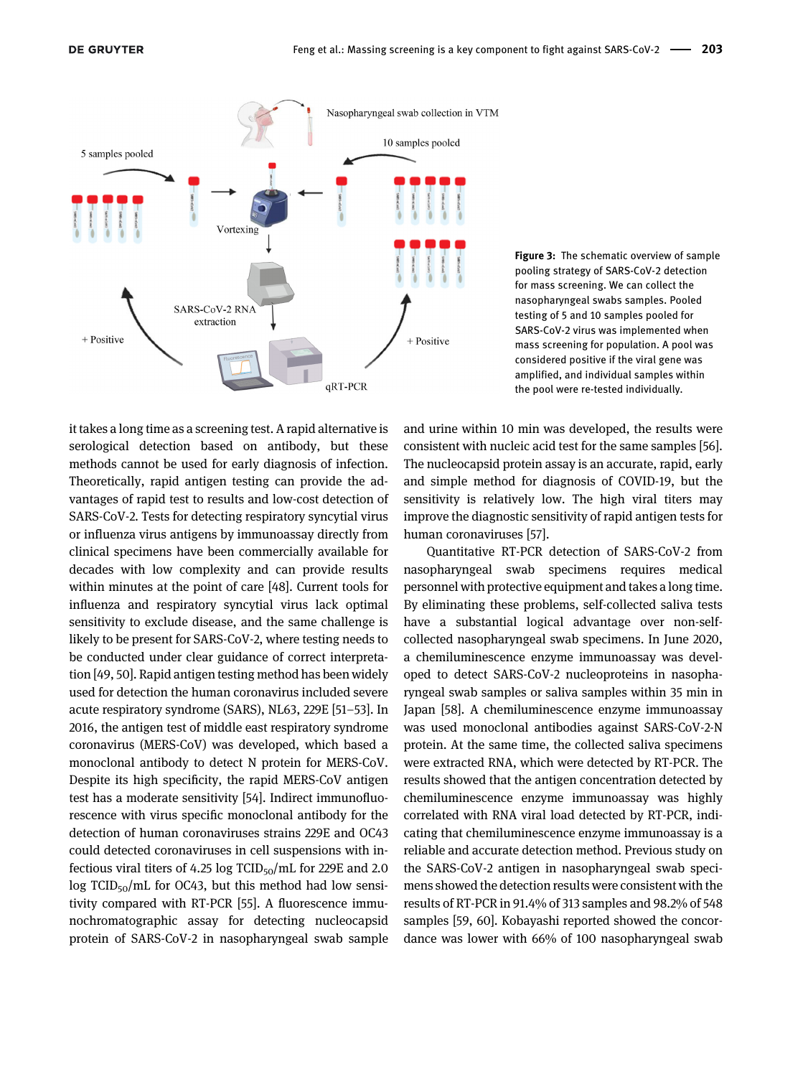

<span id="page-6-0"></span>Figure 3: The schematic overview of sample pooling strategy of SARS-CoV-2 detection for mass screening. We can collect the nasopharyngeal swabs samples. Pooled testing of 5 and 10 samples pooled for SARS-CoV-2 virus was implemented when mass screening for population. A pool was considered positive if the viral gene was amplified, and individual samples within the pool were re-tested individually.

it takes a long time as a screening test. A rapid alternative is serological detection based on antibody, but these methods cannot be used for early diagnosis of infection. Theoretically, rapid antigen testing can provide the advantages of rapid test to results and low-cost detection of SARS-CoV-2. Tests for detecting respiratory syncytial virus or influenza virus antigens by immunoassay directly from clinical specimens have been commercially available for decades with low complexity and can provide results within minutes at the point of care [\[48\]](#page-14-5). Current tools for influenza and respiratory syncytial virus lack optimal sensitivity to exclude disease, and the same challenge is likely to be present for SARS-CoV-2, where testing needs to be conducted under clear guidance of correct interpretation [\[49](#page-14-6), [50\]](#page-14-7). Rapid antigen testing method has been widely used for detection the human coronavirus included severe acute respiratory syndrome (SARS), NL63, 229E [51–[53](#page-14-8)]. In 2016, the antigen test of middle east respiratory syndrome coronavirus (MERS-CoV) was developed, which based a monoclonal antibody to detect N protein for MERS-CoV. Despite its high specificity, the rapid MERS-CoV antigen test has a moderate sensitivity [\[54\]](#page-14-9). Indirect immunofluorescence with virus specific monoclonal antibody for the detection of human coronaviruses strains 229E and OC43 could detected coronaviruses in cell suspensions with infectious viral titers of 4.25 log  $TCID_{50}/mL$  for 229E and 2.0  $\log$  TCID<sub>50</sub>/mL for OC43, but this method had low sensitivity compared with RT-PCR [[55\]](#page-14-10). A fluorescence immunochromatographic assay for detecting nucleocapsid protein of SARS-CoV-2 in nasopharyngeal swab sample

and urine within 10 min was developed, the results were consistent with nucleic acid test for the same samples [\[56\]](#page-14-11). The nucleocapsid protein assay is an accurate, rapid, early and simple method for diagnosis of COVID-19, but the sensitivity is relatively low. The high viral titers may improve the diagnostic sensitivity of rapid antigen tests for human coronaviruses [[57\]](#page-14-12).

Quantitative RT-PCR detection of SARS-CoV-2 from nasopharyngeal swab specimens requires medical personnel with protective equipment and takes a long time. By eliminating these problems, self-collected saliva tests have a substantial logical advantage over non-selfcollected nasopharyngeal swab specimens. In June 2020, a chemiluminescence enzyme immunoassay was developed to detect SARS-CoV-2 nucleoproteins in nasopharyngeal swab samples or saliva samples within 35 min in Japan [[58](#page-14-13)]. A chemiluminescence enzyme immunoassay was used monoclonal antibodies against SARS-CoV-2-N protein. At the same time, the collected saliva specimens were extracted RNA, which were detected by RT-PCR. The results showed that the antigen concentration detected by chemiluminescence enzyme immunoassay was highly correlated with RNA viral load detected by RT-PCR, indicating that chemiluminescence enzyme immunoassay is a reliable and accurate detection method. Previous study on the SARS-CoV-2 antigen in nasopharyngeal swab specimens showed the detection results were consistent with the results of RT-PCR in 91.4% of 313 samples and 98.2% of 548 samples [[59,](#page-14-14) [60\]](#page-14-15). Kobayashi reported showed the concordance was lower with 66% of 100 nasopharyngeal swab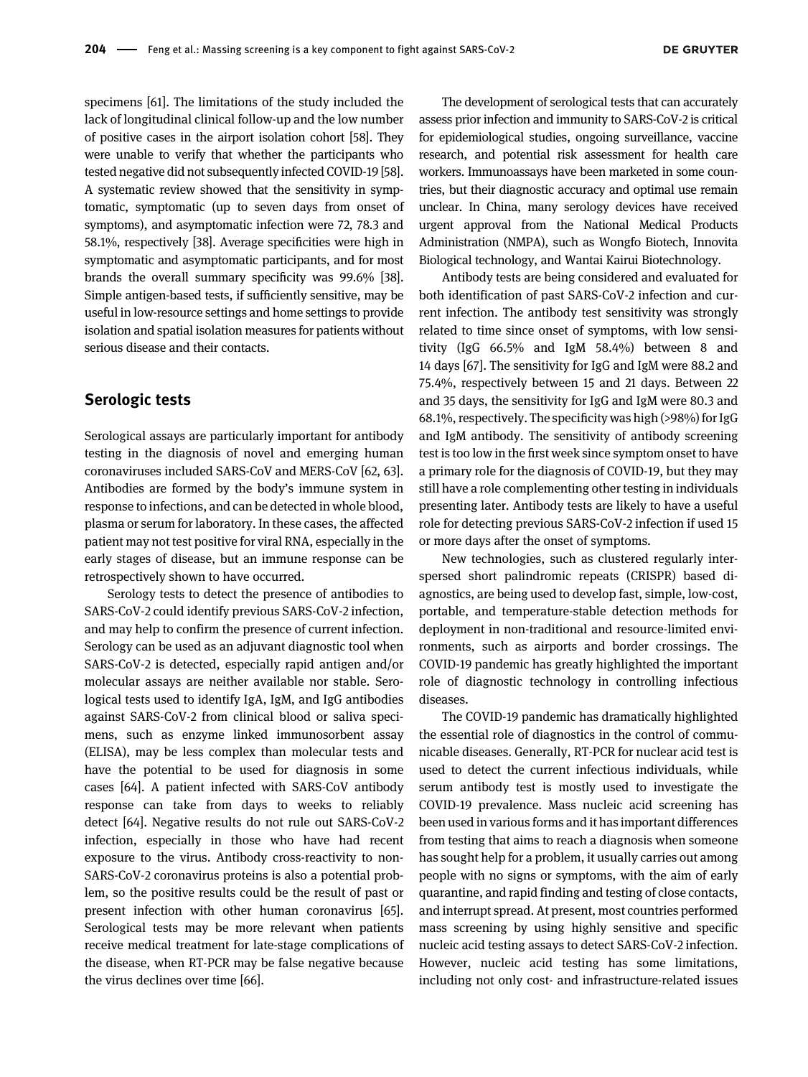specimens [[61\]](#page-14-16). The limitations of the study included the lack of longitudinal clinical follow-up and the low number of positive cases in the airport isolation cohort [\[58\]](#page-14-13). They were unable to verify that whether the participants who tested negative did not subsequently infected COVID-19 [\[58](#page-14-13)]. A systematic review showed that the sensitivity in symptomatic, symptomatic (up to seven days from onset of symptoms), and asymptomatic infection were 72, 78.3 and 58.1%, respectively [[38\]](#page-13-27). Average specificities were high in symptomatic and asymptomatic participants, and for most brands the overall summary specificity was 99.6% [\[38](#page-13-27)]. Simple antigen-based tests, if sufficiently sensitive, may be useful in low-resource settings and home settings to provide isolation and spatial isolation measures for patients without serious disease and their contacts.

#### Serologic tests

Serological assays are particularly important for antibody testing in the diagnosis of novel and emerging human coronaviruses included SARS-CoV and MERS-CoV [[62,](#page-14-17) [63](#page-14-18)]. Antibodies are formed by the body's immune system in response to infections, and can be detected in whole blood, plasma or serum for laboratory. In these cases, the affected patient may not test positive for viral RNA, especially in the early stages of disease, but an immune response can be retrospectively shown to have occurred.

Serology tests to detect the presence of antibodies to SARS-CoV-2 could identify previous SARS-CoV-2 infection, and may help to confirm the presence of current infection. Serology can be used as an adjuvant diagnostic tool when SARS-CoV-2 is detected, especially rapid antigen and/or molecular assays are neither available nor stable. Serological tests used to identify IgA, IgM, and IgG antibodies against SARS-CoV-2 from clinical blood or saliva specimens, such as enzyme linked immunosorbent assay (ELISA), may be less complex than molecular tests and have the potential to be used for diagnosis in some cases [[64](#page-14-19)]. A patient infected with SARS-CoV antibody response can take from days to weeks to reliably detect [\[64](#page-14-19)]. Negative results do not rule out SARS-CoV-2 infection, especially in those who have had recent exposure to the virus. Antibody cross-reactivity to non-SARS-CoV-2 coronavirus proteins is also a potential problem, so the positive results could be the result of past or present infection with other human coronavirus [[65](#page-14-20)]. Serological tests may be more relevant when patients receive medical treatment for late-stage complications of the disease, when RT-PCR may be false negative because the virus declines over time [[66\]](#page-14-21).

The development of serological tests that can accurately assess prior infection and immunity to SARS-CoV-2 is critical for epidemiological studies, ongoing surveillance, vaccine research, and potential risk assessment for health care workers. Immunoassays have been marketed in some countries, but their diagnostic accuracy and optimal use remain unclear. In China, many serology devices have received urgent approval from the National Medical Products Administration (NMPA), such as Wongfo Biotech, Innovita Biological technology, and Wantai Kairui Biotechnology.

Antibody tests are being considered and evaluated for both identification of past SARS-CoV-2 infection and current infection. The antibody test sensitivity was strongly related to time since onset of symptoms, with low sensitivity (IgG 66.5% and IgM 58.4%) between 8 and 14 days [\[67\]](#page-14-22). The sensitivity for IgG and IgM were 88.2 and 75.4%, respectively between 15 and 21 days. Between 22 and 35 days, the sensitivity for IgG and IgM were 80.3 and 68.1%, respectively. The specificity was high (>98%) for IgG and IgM antibody. The sensitivity of antibody screening test is too low in the first week since symptom onset to have a primary role for the diagnosis of COVID-19, but they may still have a role complementing other testing in individuals presenting later. Antibody tests are likely to have a useful role for detecting previous SARS-CoV-2 infection if used 15 or more days after the onset of symptoms.

New technologies, such as clustered regularly interspersed short palindromic repeats (CRISPR) based diagnostics, are being used to develop fast, simple, low-cost, portable, and temperature-stable detection methods for deployment in non-traditional and resource-limited environments, such as airports and border crossings. The COVID-19 pandemic has greatly highlighted the important role of diagnostic technology in controlling infectious diseases.

The COVID-19 pandemic has dramatically highlighted the essential role of diagnostics in the control of communicable diseases. Generally, RT-PCR for nuclear acid test is used to detect the current infectious individuals, while serum antibody test is mostly used to investigate the COVID-19 prevalence. Mass nucleic acid screening has been used in various forms and it has important differences from testing that aims to reach a diagnosis when someone has sought help for a problem, it usually carries out among people with no signs or symptoms, with the aim of early quarantine, and rapid finding and testing of close contacts, and interrupt spread. At present, most countries performed mass screening by using highly sensitive and specific nucleic acid testing assays to detect SARS-CoV-2 infection. However, nucleic acid testing has some limitations, including not only cost- and infrastructure-related issues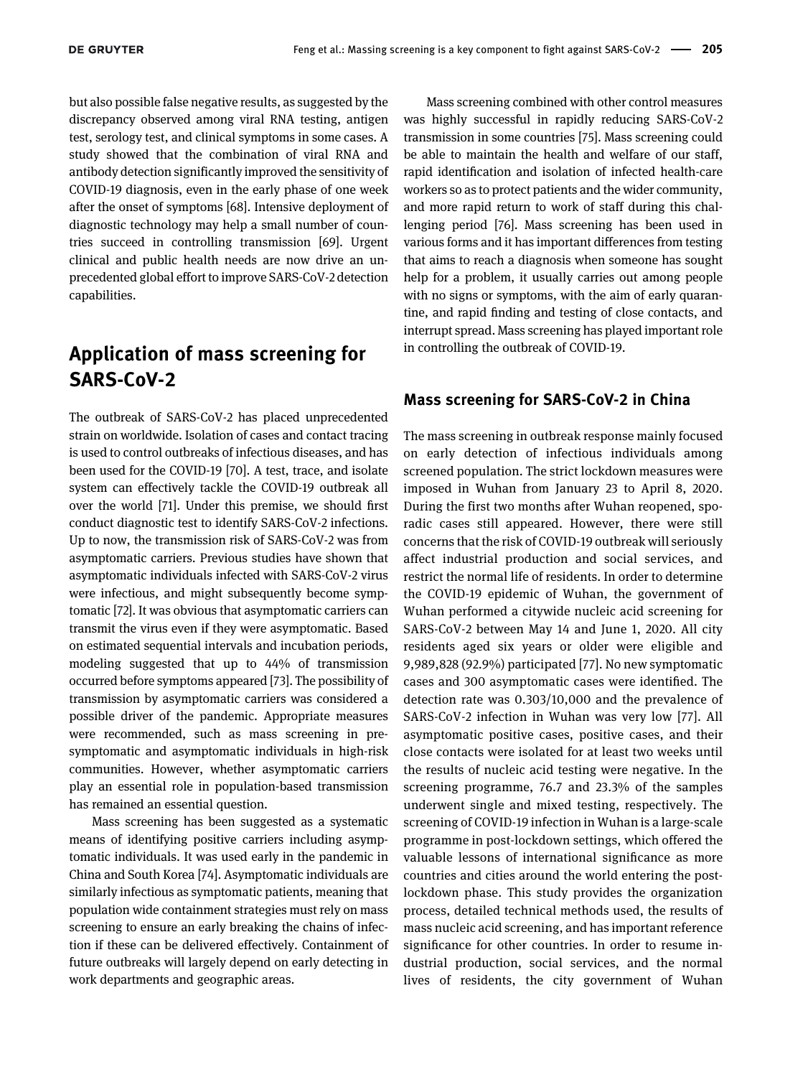but also possible false negative results, as suggested by the discrepancy observed among viral RNA testing, antigen test, serology test, and clinical symptoms in some cases. A study showed that the combination of viral RNA and antibody detection significantly improved the sensitivity of COVID-19 diagnosis, even in the early phase of one week after the onset of symptoms [[68\]](#page-14-23). Intensive deployment of diagnostic technology may help a small number of countries succeed in controlling transmission [[69\]](#page-14-24). Urgent clinical and public health needs are now drive an unprecedented global effort to improve SARS-CoV-2 detection capabilities.

## Application of mass screening for SARS-CoV-2

The outbreak of SARS-CoV-2 has placed unprecedented strain on worldwide. Isolation of cases and contact tracing is used to control outbreaks of infectious diseases, and has been used for the COVID-19 [\[70](#page-14-25)]. A test, trace, and isolate system can effectively tackle the COVID-19 outbreak all over the world [\[71\]](#page-14-26). Under this premise, we should first conduct diagnostic test to identify SARS-CoV-2 infections. Up to now, the transmission risk of SARS-CoV-2 was from asymptomatic carriers. Previous studies have shown that asymptomatic individuals infected with SARS-CoV-2 virus were infectious, and might subsequently become symptomatic [\[72\]](#page-14-27). It was obvious that asymptomatic carriers can transmit the virus even if they were asymptomatic. Based on estimated sequential intervals and incubation periods, modeling suggested that up to 44% of transmission occurred before symptoms appeared [[73\]](#page-14-28). The possibility of transmission by asymptomatic carriers was considered a possible driver of the pandemic. Appropriate measures were recommended, such as mass screening in presymptomatic and asymptomatic individuals in high-risk communities. However, whether asymptomatic carriers play an essential role in population-based transmission has remained an essential question.

Mass screening has been suggested as a systematic means of identifying positive carriers including asymptomatic individuals. It was used early in the pandemic in China and South Korea [\[74\]](#page-14-29). Asymptomatic individuals are similarly infectious as symptomatic patients, meaning that population wide containment strategies must rely on mass screening to ensure an early breaking the chains of infection if these can be delivered effectively. Containment of future outbreaks will largely depend on early detecting in work departments and geographic areas.

Mass screening combined with other control measures was highly successful in rapidly reducing SARS-CoV-2 transmission in some countries [\[75](#page-14-30)]. Mass screening could be able to maintain the health and welfare of our staff, rapid identification and isolation of infected health-care workers so as to protect patients and the wider community, and more rapid return to work of staff during this challenging period [\[76\]](#page-14-31). Mass screening has been used in various forms and it has important differences from testing that aims to reach a diagnosis when someone has sought help for a problem, it usually carries out among people with no signs or symptoms, with the aim of early quarantine, and rapid finding and testing of close contacts, and interrupt spread. Mass screening has played important role in controlling the outbreak of COVID-19.

#### Mass screening for SARS-CoV-2 in China

The mass screening in outbreak response mainly focused on early detection of infectious individuals among screened population. The strict lockdown measures were imposed in Wuhan from January 23 to April 8, 2020. During the first two months after Wuhan reopened, sporadic cases still appeared. However, there were still concerns that the risk of COVID-19 outbreak will seriously affect industrial production and social services, and restrict the normal life of residents. In order to determine the COVID-19 epidemic of Wuhan, the government of Wuhan performed a citywide nucleic acid screening for SARS-CoV-2 between May 14 and June 1, 2020. All city residents aged six years or older were eligible and 9,989,828 (92.9%) participated [[77\]](#page-14-32). No new symptomatic cases and 300 asymptomatic cases were identified. The detection rate was 0.303/10,000 and the prevalence of SARS-CoV-2 infection in Wuhan was very low [\[77](#page-14-32)]. All asymptomatic positive cases, positive cases, and their close contacts were isolated for at least two weeks until the results of nucleic acid testing were negative. In the screening programme, 76.7 and 23.3% of the samples underwent single and mixed testing, respectively. The screening of COVID-19 infection in Wuhan is a large-scale programme in post-lockdown settings, which offered the valuable lessons of international significance as more countries and cities around the world entering the postlockdown phase. This study provides the organization process, detailed technical methods used, the results of mass nucleic acid screening, and has important reference significance for other countries. In order to resume industrial production, social services, and the normal lives of residents, the city government of Wuhan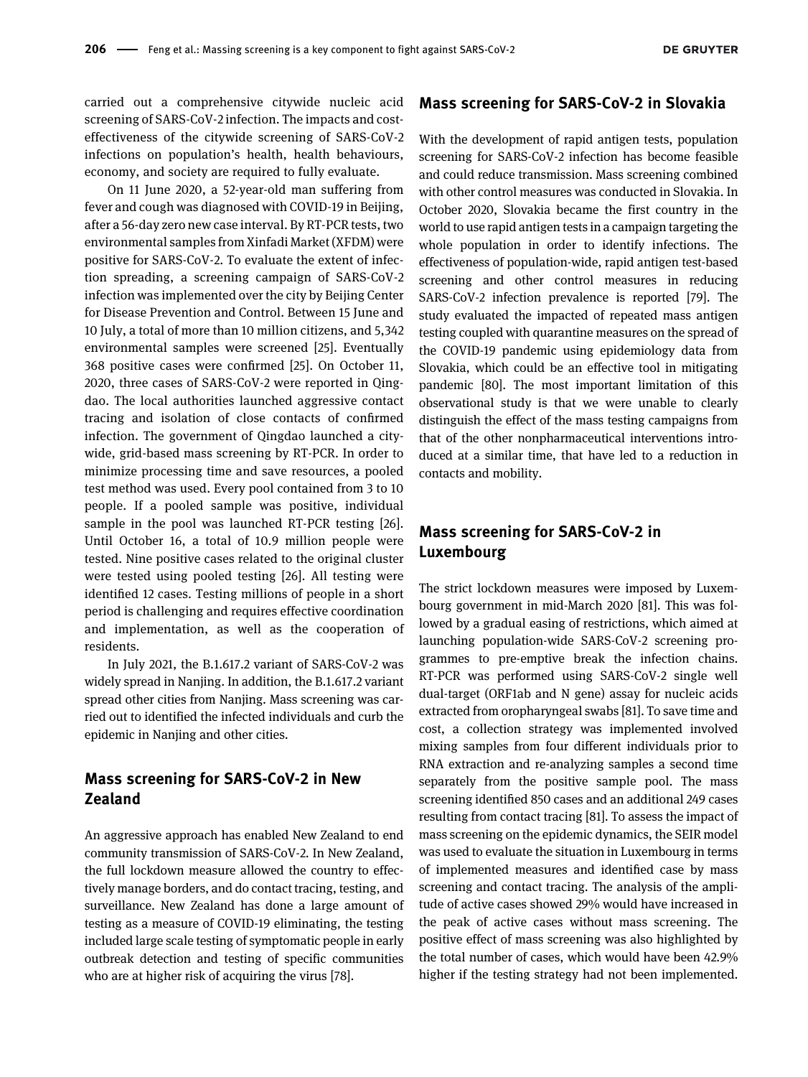carried out a comprehensive citywide nucleic acid screening of SARS-CoV-2 infection. The impacts and costeffectiveness of the citywide screening of SARS-CoV-2 infections on population's health, health behaviours, economy, and society are required to fully evaluate.

On 11 June 2020, a 52-year-old man suffering from fever and cough was diagnosed with COVID-19 in Beijing, after a 56-day zero new case interval. By RT-PCR tests, two environmental samples from Xinfadi Market (XFDM) were positive for SARS-CoV-2. To evaluate the extent of infection spreading, a screening campaign of SARS-CoV-2 infection was implemented over the city by Beijing Center for Disease Prevention and Control. Between 15 June and 10 July, a total of more than 10 million citizens, and 5,342 environmental samples were screened [\[25](#page-13-12)]. Eventually 368 positive cases were confirmed [[25](#page-13-12)]. On October 11, 2020, three cases of SARS-CoV-2 were reported in Qingdao. The local authorities launched aggressive contact tracing and isolation of close contacts of confirmed infection. The government of Qingdao launched a citywide, grid-based mass screening by RT-PCR. In order to minimize processing time and save resources, a pooled test method was used. Every pool contained from 3 to 10 people. If a pooled sample was positive, individual sample in the pool was launched RT-PCR testing [[26](#page-13-13)]. Until October 16, a total of 10.9 million people were tested. Nine positive cases related to the original cluster were tested using pooled testing [[26\]](#page-13-13). All testing were identified 12 cases. Testing millions of people in a short period is challenging and requires effective coordination and implementation, as well as the cooperation of residents.

In July 2021, the B.1.617.2 variant of SARS-CoV-2 was widely spread in Nanjing. In addition, the B.1.617.2 variant spread other cities from Nanjing. Mass screening was carried out to identified the infected individuals and curb the epidemic in Nanjing and other cities.

#### Mass screening for SARS-CoV-2 in New Zealand

An aggressive approach has enabled New Zealand to end community transmission of SARS-CoV-2. In New Zealand, the full lockdown measure allowed the country to effectively manage borders, and do contact tracing, testing, and surveillance. New Zealand has done a large amount of testing as a measure of COVID-19 eliminating, the testing included large scale testing of symptomatic people in early outbreak detection and testing of specific communities who are at higher risk of acquiring the virus [\[78\]](#page-15-0).

#### Mass screening for SARS-CoV-2 in Slovakia

With the development of rapid antigen tests, population screening for SARS-CoV-2 infection has become feasible and could reduce transmission. Mass screening combined with other control measures was conducted in Slovakia. In October 2020, Slovakia became the first country in the world to use rapid antigen tests in a campaign targeting the whole population in order to identify infections. The effectiveness of population-wide, rapid antigen test-based screening and other control measures in reducing SARS-CoV-2 infection prevalence is reported [\[79](#page-15-1)]. The study evaluated the impacted of repeated mass antigen testing coupled with quarantine measures on the spread of the COVID-19 pandemic using epidemiology data from Slovakia, which could be an effective tool in mitigating pandemic [\[80\]](#page-15-2). The most important limitation of this observational study is that we were unable to clearly distinguish the effect of the mass testing campaigns from that of the other nonpharmaceutical interventions introduced at a similar time, that have led to a reduction in contacts and mobility.

#### Mass screening for SARS-CoV-2 in Luxembourg

The strict lockdown measures were imposed by Luxembourg government in mid-March 2020 [[81\]](#page-15-3). This was followed by a gradual easing of restrictions, which aimed at launching population-wide SARS-CoV-2 screening programmes to pre-emptive break the infection chains. RT-PCR was performed using SARS-CoV-2 single well dual-target (ORF1ab and N gene) assay for nucleic acids extracted from oropharyngeal swabs [[81\]](#page-15-3). To save time and cost, a collection strategy was implemented involved mixing samples from four different individuals prior to RNA extraction and re-analyzing samples a second time separately from the positive sample pool. The mass screening identified 850 cases and an additional 249 cases resulting from contact tracing [\[81](#page-15-3)]. To assess the impact of mass screening on the epidemic dynamics, the SEIR model was used to evaluate the situation in Luxembourg in terms of implemented measures and identified case by mass screening and contact tracing. The analysis of the amplitude of active cases showed 29% would have increased in the peak of active cases without mass screening. The positive effect of mass screening was also highlighted by the total number of cases, which would have been 42.9% higher if the testing strategy had not been implemented.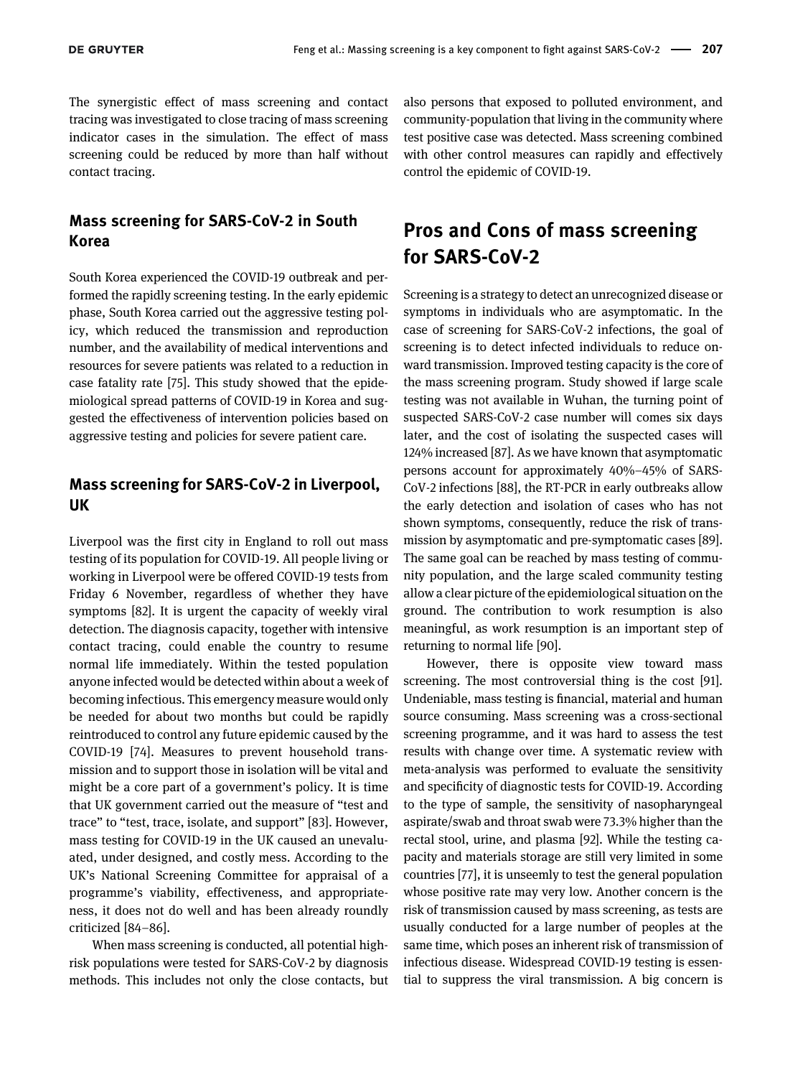The synergistic effect of mass screening and contact tracing was investigated to close tracing of mass screening indicator cases in the simulation. The effect of mass screening could be reduced by more than half without contact tracing.

#### Mass screening for SARS-CoV-2 in South Korea

South Korea experienced the COVID-19 outbreak and performed the rapidly screening testing. In the early epidemic phase, South Korea carried out the aggressive testing policy, which reduced the transmission and reproduction number, and the availability of medical interventions and resources for severe patients was related to a reduction in case fatality rate [\[75\]](#page-14-30). This study showed that the epidemiological spread patterns of COVID-19 in Korea and suggested the effectiveness of intervention policies based on aggressive testing and policies for severe patient care.

#### Mass screening for SARS-CoV-2 in Liverpool, UK

Liverpool was the first city in England to roll out mass testing of its population for COVID-19. All people living or working in Liverpool were be offered COVID-19 tests from Friday 6 November, regardless of whether they have symptoms [[82](#page-15-4)]. It is urgent the capacity of weekly viral detection. The diagnosis capacity, together with intensive contact tracing, could enable the country to resume normal life immediately. Within the tested population anyone infected would be detected within about a week of becoming infectious. This emergency measure would only be needed for about two months but could be rapidly reintroduced to control any future epidemic caused by the COVID-19 [[74](#page-14-29)]. Measures to prevent household transmission and to support those in isolation will be vital and might be a core part of a government's policy. It is time that UK government carried out the measure of "test and trace" to "test, trace, isolate, and support" [[83\]](#page-15-5). However, mass testing for COVID-19 in the UK caused an unevaluated, under designed, and costly mess. According to the UK's National Screening Committee for appraisal of a programme's viability, effectiveness, and appropriateness, it does not do well and has been already roundly criticized [\[84](#page-15-6)–86].

When mass screening is conducted, all potential highrisk populations were tested for SARS-CoV-2 by diagnosis methods. This includes not only the close contacts, but also persons that exposed to polluted environment, and community-population that living in the community where test positive case was detected. Mass screening combined with other control measures can rapidly and effectively control the epidemic of COVID-19.

### Pros and Cons of mass screening for SARS-CoV-2

Screening is a strategy to detect an unrecognized disease or symptoms in individuals who are asymptomatic. In the case of screening for SARS-CoV-2 infections, the goal of screening is to detect infected individuals to reduce onward transmission. Improved testing capacity is the core of the mass screening program. Study showed if large scale testing was not available in Wuhan, the turning point of suspected SARS-CoV-2 case number will comes six days later, and the cost of isolating the suspected cases will 124% increased [[87\]](#page-15-7). As we have known that asymptomatic persons account for approximately 40%–45% of SARS-CoV-2 infections [[88\]](#page-15-8), the RT-PCR in early outbreaks allow the early detection and isolation of cases who has not shown symptoms, consequently, reduce the risk of transmission by asymptomatic and pre-symptomatic cases [[89\]](#page-15-9). The same goal can be reached by mass testing of community population, and the large scaled community testing allow a clear picture of the epidemiological situation on the ground. The contribution to work resumption is also meaningful, as work resumption is an important step of returning to normal life [\[90\]](#page-15-10).

However, there is opposite view toward mass screening. The most controversial thing is the cost [[91\]](#page-15-11). Undeniable, mass testing is financial, material and human source consuming. Mass screening was a cross-sectional screening programme, and it was hard to assess the test results with change over time. A systematic review with meta-analysis was performed to evaluate the sensitivity and specificity of diagnostic tests for COVID-19. According to the type of sample, the sensitivity of nasopharyngeal aspirate/swab and throat swab were 73.3% higher than the rectal stool, urine, and plasma [\[92](#page-15-12)]. While the testing capacity and materials storage are still very limited in some countries [\[77](#page-14-32)], it is unseemly to test the general population whose positive rate may very low. Another concern is the risk of transmission caused by mass screening, as tests are usually conducted for a large number of peoples at the same time, which poses an inherent risk of transmission of infectious disease. Widespread COVID-19 testing is essential to suppress the viral transmission. A big concern is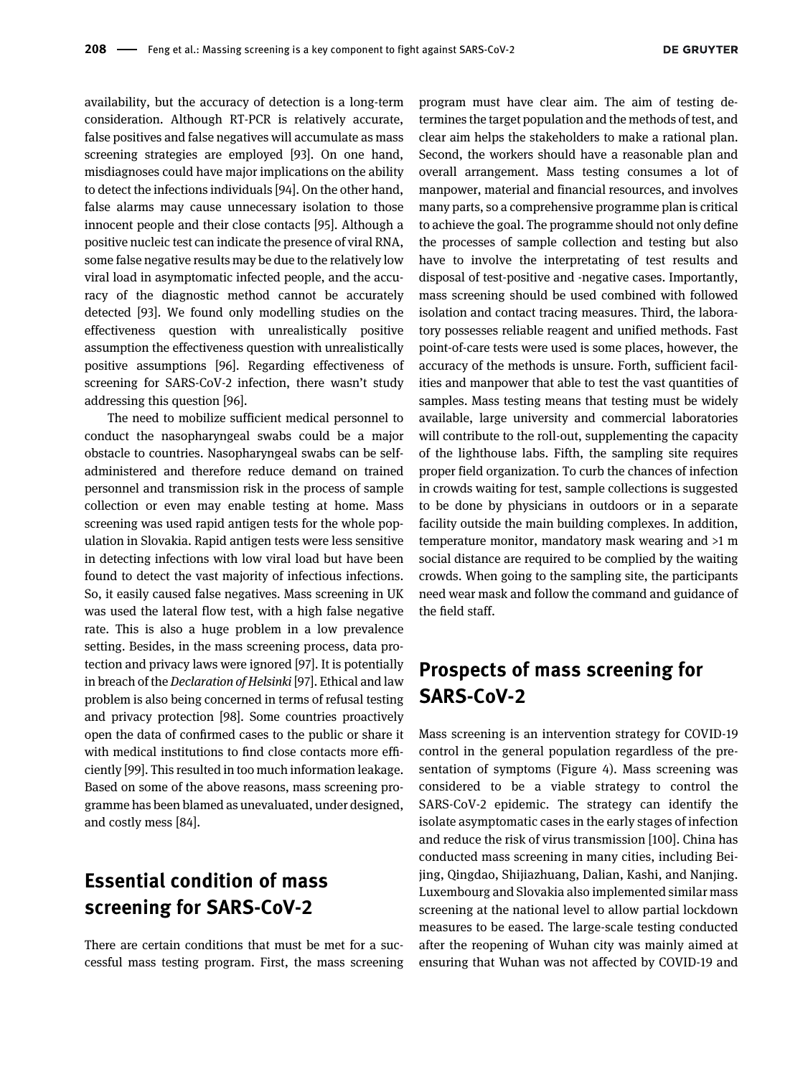availability, but the accuracy of detection is a long-term consideration. Although RT-PCR is relatively accurate, false positives and false negatives will accumulate as mass screening strategies are employed [[93](#page-15-13)]. On one hand, misdiagnoses could have major implications on the ability to detect the infections individuals [[94](#page-15-14)]. On the other hand, false alarms may cause unnecessary isolation to those innocent people and their close contacts [\[95\]](#page-15-15). Although a positive nucleic test can indicate the presence of viral RNA, some false negative results may be due to the relatively low viral load in asymptomatic infected people, and the accuracy of the diagnostic method cannot be accurately detected [[93](#page-15-13)]. We found only modelling studies on the effectiveness question with unrealistically positive assumption the effectiveness question with unrealistically positive assumptions [\[96](#page-15-16)]. Regarding effectiveness of screening for SARS-CoV-2 infection, there wasn't study addressing this question [\[96](#page-15-16)].

The need to mobilize sufficient medical personnel to conduct the nasopharyngeal swabs could be a major obstacle to countries. Nasopharyngeal swabs can be selfadministered and therefore reduce demand on trained personnel and transmission risk in the process of sample collection or even may enable testing at home. Mass screening was used rapid antigen tests for the whole population in Slovakia. Rapid antigen tests were less sensitive in detecting infections with low viral load but have been found to detect the vast majority of infectious infections. So, it easily caused false negatives. Mass screening in UK was used the lateral flow test, with a high false negative rate. This is also a huge problem in a low prevalence setting. Besides, in the mass screening process, data protection and privacy laws were ignored [\[97](#page-15-17)]. It is potentially in breach of the Declaration of Helsinki [\[97\]](#page-15-17). Ethical and law problem is also being concerned in terms of refusal testing and privacy protection [[98\]](#page-15-18). Some countries proactively open the data of confirmed cases to the public or share it with medical institutions to find close contacts more efficiently [\[99](#page-15-19)]. This resulted in too much information leakage. Based on some of the above reasons, mass screening programme has been blamed as unevaluated, under designed, and costly mess [\[84](#page-15-6)].

# Essential condition of mass screening for SARS-CoV-2

There are certain conditions that must be met for a successful mass testing program. First, the mass screening program must have clear aim. The aim of testing determines the target population and the methods of test, and clear aim helps the stakeholders to make a rational plan. Second, the workers should have a reasonable plan and overall arrangement. Mass testing consumes a lot of manpower, material and financial resources, and involves many parts, so a comprehensive programme plan is critical to achieve the goal. The programme should not only define the processes of sample collection and testing but also have to involve the interpretating of test results and disposal of test-positive and -negative cases. Importantly, mass screening should be used combined with followed isolation and contact tracing measures. Third, the laboratory possesses reliable reagent and unified methods. Fast point-of-care tests were used is some places, however, the accuracy of the methods is unsure. Forth, sufficient facilities and manpower that able to test the vast quantities of samples. Mass testing means that testing must be widely available, large university and commercial laboratories will contribute to the roll-out, supplementing the capacity of the lighthouse labs. Fifth, the sampling site requires proper field organization. To curb the chances of infection in crowds waiting for test, sample collections is suggested to be done by physicians in outdoors or in a separate facility outside the main building complexes. In addition, temperature monitor, mandatory mask wearing and >1 m social distance are required to be complied by the waiting crowds. When going to the sampling site, the participants need wear mask and follow the command and guidance of the field staff.

### Prospects of mass screening for SARS-CoV-2

Mass screening is an intervention strategy for COVID-19 control in the general population regardless of the presentation of symptoms ([Figure 4](#page-12-4)). Mass screening was considered to be a viable strategy to control the SARS-CoV-2 epidemic. The strategy can identify the isolate asymptomatic cases in the early stages of infection and reduce the risk of virus transmission [[100\]](#page-15-20). China has conducted mass screening in many cities, including Beijing, Qingdao, Shijiazhuang, Dalian, Kashi, and Nanjing. Luxembourg and Slovakia also implemented similar mass screening at the national level to allow partial lockdown measures to be eased. The large-scale testing conducted after the reopening of Wuhan city was mainly aimed at ensuring that Wuhan was not affected by COVID-19 and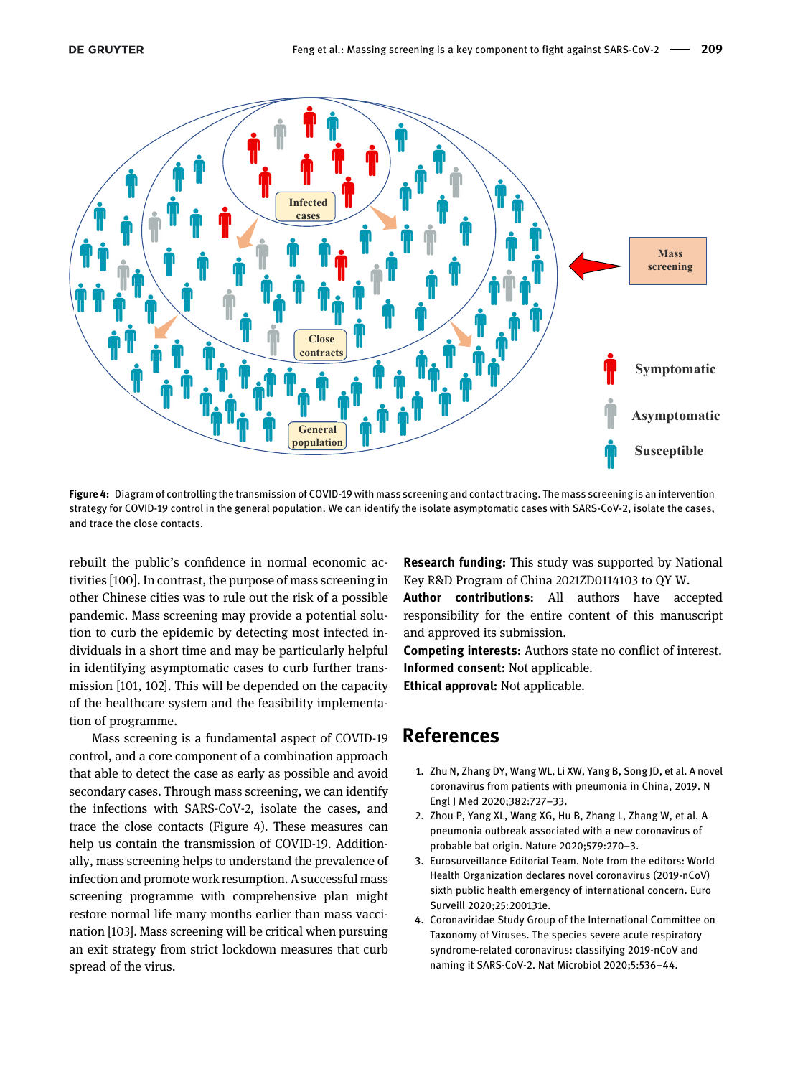

<span id="page-12-4"></span>Figure 4: Diagram of controlling the transmission of COVID-19 with mass screening and contact tracing. The mass screening is an intervention strategy for COVID-19 control in the general population. We can identify the isolate asymptomatic cases with SARS-CoV-2, isolate the cases, and trace the close contacts.

rebuilt the public's confidence in normal economic activities [\[100](#page-15-20)]. In contrast, the purpose of mass screening in other Chinese cities was to rule out the risk of a possible pandemic. Mass screening may provide a potential solution to curb the epidemic by detecting most infected individuals in a short time and may be particularly helpful in identifying asymptomatic cases to curb further transmission [[101,](#page-15-21) [102\]](#page-15-22). This will be depended on the capacity of the healthcare system and the feasibility implementation of programme.

Mass screening is a fundamental aspect of COVID-19 control, and a core component of a combination approach that able to detect the case as early as possible and avoid secondary cases. Through mass screening, we can identify the infections with SARS-CoV-2, isolate the cases, and trace the close contacts [\(Figure 4](#page-12-4)). These measures can help us contain the transmission of COVID-19. Additionally, mass screening helps to understand the prevalence of infection and promote work resumption. A successful mass screening programme with comprehensive plan might restore normal life many months earlier than mass vaccination [\[103\]](#page-15-23). Mass screening will be critical when pursuing an exit strategy from strict lockdown measures that curb spread of the virus.

Research funding: This study was supported by National Key R&D Program of China 2021ZD0114103 to QY W.

Author contributions: All authors have accepted responsibility for the entire content of this manuscript and approved its submission.

Competing interests: Authors state no conflict of interest. Informed consent: Not applicable.

Ethical approval: Not applicable.

### References

- <span id="page-12-0"></span>1. Zhu N, Zhang DY, Wang WL, Li XW, Yang B, Song JD, et al. A novel coronavirus from patients with pneumonia in China, 2019. N Engl J Med 2020;382:727–33.
- <span id="page-12-1"></span>2. Zhou P, Yang XL, Wang XG, Hu B, Zhang L, Zhang W, et al. A pneumonia outbreak associated with a new coronavirus of probable bat origin. Nature 2020;579:270–3.
- <span id="page-12-2"></span>3. Eurosurveillance Editorial Team. Note from the editors: World Health Organization declares novel coronavirus (2019-nCoV) sixth public health emergency of international concern. Euro Surveill 2020;25:200131e.
- <span id="page-12-3"></span>4. Coronaviridae Study Group of the International Committee on Taxonomy of Viruses. The species severe acute respiratory syndrome-related coronavirus: classifying 2019-nCoV and naming it SARS-CoV-2. Nat Microbiol 2020;5:536–44.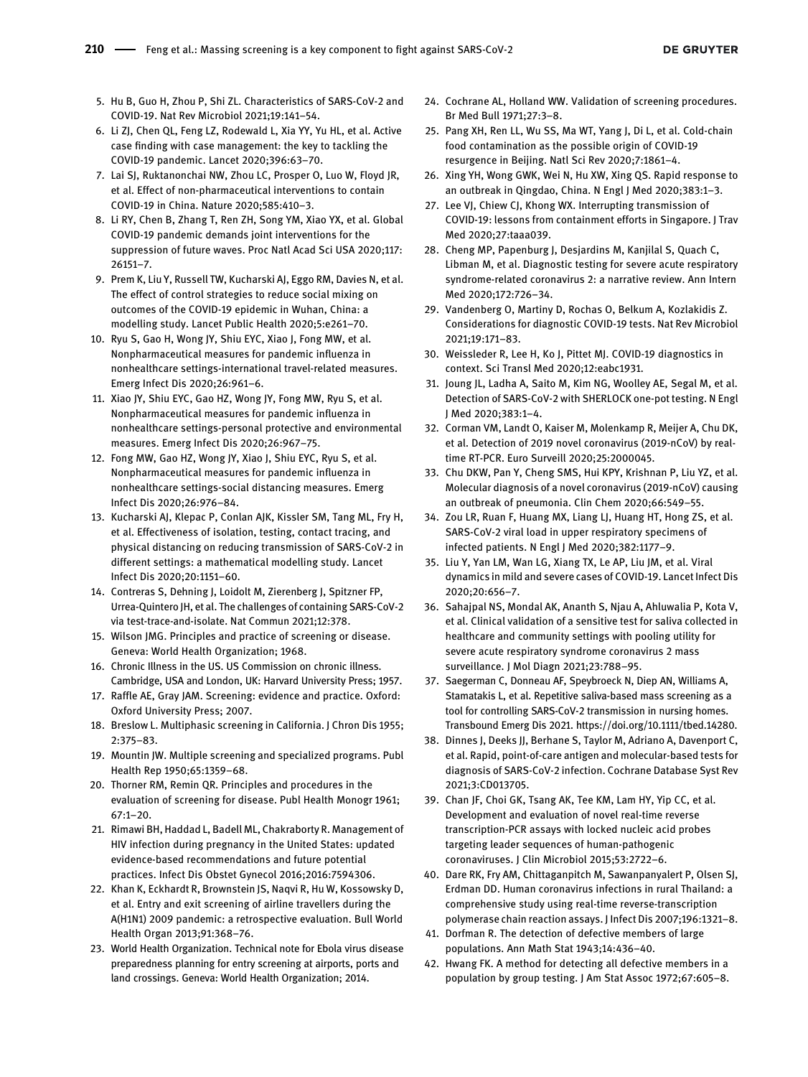- <span id="page-13-0"></span>5. Hu B, Guo H, Zhou P, Shi ZL. Characteristics of SARS-CoV-2 and COVID-19. Nat Rev Microbiol 2021;19:141–54.
- <span id="page-13-1"></span>6. Li ZJ, Chen QL, Feng LZ, Rodewald L, Xia YY, Yu HL, et al. Active case finding with case management: the key to tackling the COVID-19 pandemic. Lancet 2020;396:63–70.
- <span id="page-13-2"></span>7. Lai SJ, Ruktanonchai NW, Zhou LC, Prosper O, Luo W, Floyd JR, et al. Effect of non-pharmaceutical interventions to contain COVID-19 in China. Nature 2020;585:410–3.
- 8. Li RY, Chen B, Zhang T, Ren ZH, Song YM, Xiao YX, et al. Global COVID-19 pandemic demands joint interventions for the suppression of future waves. Proc Natl Acad Sci USA 2020;117: 26151–7.
- 9. Prem K, Liu Y, Russell TW, Kucharski AJ, Eggo RM, Davies N, et al. The effect of control strategies to reduce social mixing on outcomes of the COVID-19 epidemic in Wuhan, China: a modelling study. Lancet Public Health 2020;5:e261–70.
- <span id="page-13-3"></span>10. Ryu S, Gao H, Wong JY, Shiu EYC, Xiao J, Fong MW, et al. Nonpharmaceutical measures for pandemic influenza in nonhealthcare settings-international travel-related measures. Emerg Infect Dis 2020;26:961–6.
- 11. Xiao JY, Shiu EYC, Gao HZ, Wong JY, Fong MW, Ryu S, et al. Nonpharmaceutical measures for pandemic influenza in nonhealthcare settings-personal protective and environmental measures. Emerg Infect Dis 2020;26:967–75.
- 12. Fong MW, Gao HZ, Wong JY, Xiao J, Shiu EYC, Ryu S, et al. Nonpharmaceutical measures for pandemic influenza in nonhealthcare settings-social distancing measures. Emerg Infect Dis 2020;26:976–84.
- <span id="page-13-4"></span>13. Kucharski AJ, Klepac P, Conlan AJK, Kissler SM, Tang ML, Fry H, et al. Effectiveness of isolation, testing, contact tracing, and physical distancing on reducing transmission of SARS-CoV-2 in different settings: a mathematical modelling study. Lancet Infect Dis 2020;20:1151–60.
- <span id="page-13-5"></span>14. Contreras S, Dehning J, Loidolt M, Zierenberg J, Spitzner FP, Urrea-Quintero JH, et al. The challenges of containing SARS-CoV-2 via test-trace-and-isolate. Nat Commun 2021;12:378.
- <span id="page-13-6"></span>15. Wilson JMG. Principles and practice of screening or disease. Geneva: World Health Organization; 1968.
- <span id="page-13-7"></span>16. Chronic Illness in the US. US Commission on chronic illness. Cambridge, USA and London, UK: Harvard University Press; 1957.
- <span id="page-13-8"></span>17. Raffle AE, Gray JAM. Screening: evidence and practice. Oxford: Oxford University Press; 2007.
- 18. Breslow L. Multiphasic screening in California. J Chron Dis 1955; 2:375–83.
- 19. Mountin JW. Multiple screening and specialized programs. Publ Health Rep 1950;65:1359–68.
- <span id="page-13-14"></span>20. Thorner RM, Remin QR. Principles and procedures in the evaluation of screening for disease. Publ Health Monogr 1961; 67:1–20.
- <span id="page-13-15"></span>21. Rimawi BH, Haddad L, Badell ML, Chakraborty R. Management of HIV infection during pregnancy in the United States: updated evidence-based recommendations and future potential practices. Infect Dis Obstet Gynecol 2016;2016:7594306.
- <span id="page-13-9"></span>22. Khan K, Eckhardt R, Brownstein JS, Naqvi R, Hu W, Kossowsky D, et al. Entry and exit screening of airline travellers during the A(H1N1) 2009 pandemic: a retrospective evaluation. Bull World Health Organ 2013;91:368–76.
- <span id="page-13-10"></span>23. World Health Organization. Technical note for Ebola virus disease preparedness planning for entry screening at airports, ports and land crossings. Geneva: World Health Organization; 2014.
- <span id="page-13-11"></span>24. Cochrane AL, Holland WW. Validation of screening procedures. Br Med Bull 1971;27:3–8.
- <span id="page-13-12"></span>25. Pang XH, Ren LL, Wu SS, Ma WT, Yang J, Di L, et al. Cold-chain food contamination as the possible origin of COVID-19 resurgence in Beijing. Natl Sci Rev 2020;7:1861–4.
- <span id="page-13-13"></span>26. Xing YH, Wong GWK, Wei N, Hu XW, Xing QS. Rapid response to an outbreak in Qingdao, China. N Engl J Med 2020;383:1–3.
- <span id="page-13-16"></span>27. Lee VJ, Chiew CJ, Khong WX. Interrupting transmission of COVID-19: lessons from containment efforts in Singapore. J Trav Med 2020;27:taaa039.
- <span id="page-13-17"></span>28. Cheng MP, Papenburg J, Desjardins M, Kanjilal S, Quach C, Libman M, et al. Diagnostic testing for severe acute respiratory syndrome-related coronavirus 2: a narrative review. Ann Intern Med 2020;172:726–34.
- <span id="page-13-18"></span>29. Vandenberg O, Martiny D, Rochas O, Belkum A, Kozlakidis Z. Considerations for diagnostic COVID-19 tests. Nat Rev Microbiol 2021;19:171–83.
- <span id="page-13-19"></span>30. Weissleder R, Lee H, Ko J, Pittet MJ. COVID-19 diagnostics in context. Sci Transl Med 2020;12:eabc1931.
- <span id="page-13-20"></span>31. Joung JL, Ladha A, Saito M, Kim NG, Woolley AE, Segal M, et al. Detection of SARS-CoV-2 with SHERLOCK one-pot testing. N Engl J Med 2020;383:1–4.
- <span id="page-13-21"></span>32. Corman VM, Landt O, Kaiser M, Molenkamp R, Meijer A, Chu DK, et al. Detection of 2019 novel coronavirus (2019-nCoV) by realtime RT-PCR. Euro Surveill 2020;25:2000045.
- <span id="page-13-22"></span>33. Chu DKW, Pan Y, Cheng SMS, Hui KPY, Krishnan P, Liu YZ, et al. Molecular diagnosis of a novel coronavirus (2019-nCoV) causing an outbreak of pneumonia. Clin Chem 2020;66:549–55.
- <span id="page-13-23"></span>34. Zou LR, Ruan F, Huang MX, Liang LJ, Huang HT, Hong ZS, et al. SARS-CoV-2 viral load in upper respiratory specimens of infected patients. N Engl J Med 2020;382:1177–9.
- <span id="page-13-24"></span>35. Liu Y, Yan LM, Wan LG, Xiang TX, Le AP, Liu JM, et al. Viral dynamics in mild and severe cases of COVID-19. Lancet Infect Dis 2020;20:656–7.
- <span id="page-13-25"></span>36. Sahajpal NS, Mondal AK, Ananth S, Njau A, Ahluwalia P, Kota V, et al. Clinical validation of a sensitive test for saliva collected in healthcare and community settings with pooling utility for severe acute respiratory syndrome coronavirus 2 mass surveillance. J Mol Diagn 2021;23:788–95.
- <span id="page-13-26"></span>37. Saegerman C, Donneau AF, Speybroeck N, Diep AN, Williams A, Stamatakis L, et al. Repetitive saliva-based mass screening as a tool for controlling SARS-CoV-2 transmission in nursing homes. Transbound Emerg Dis 2021.<https://doi.org/10.1111/tbed.14280>.
- <span id="page-13-27"></span>38. Dinnes J, Deeks JJ, Berhane S, Taylor M, Adriano A, Davenport C, et al. Rapid, point-of-care antigen and molecular-based tests for diagnosis of SARS-CoV-2 infection. Cochrane Database Syst Rev 2021;3:CD013705.
- <span id="page-13-28"></span>39. Chan JF, Choi GK, Tsang AK, Tee KM, Lam HY, Yip CC, et al. Development and evaluation of novel real-time reverse transcription-PCR assays with locked nucleic acid probes targeting leader sequences of human-pathogenic coronaviruses. J Clin Microbiol 2015;53:2722–6.
- <span id="page-13-29"></span>40. Dare RK, Fry AM, Chittaganpitch M, Sawanpanyalert P, Olsen SJ, Erdman DD. Human coronavirus infections in rural Thailand: a comprehensive study using real-time reverse-transcription polymerase chain reaction assays. J Infect Dis 2007;196:1321–8.
- <span id="page-13-30"></span>41. Dorfman R. The detection of defective members of large populations. Ann Math Stat 1943;14:436–40.
- <span id="page-13-31"></span>42. Hwang FK. A method for detecting all defective members in a population by group testing. J Am Stat Assoc 1972;67:605–8.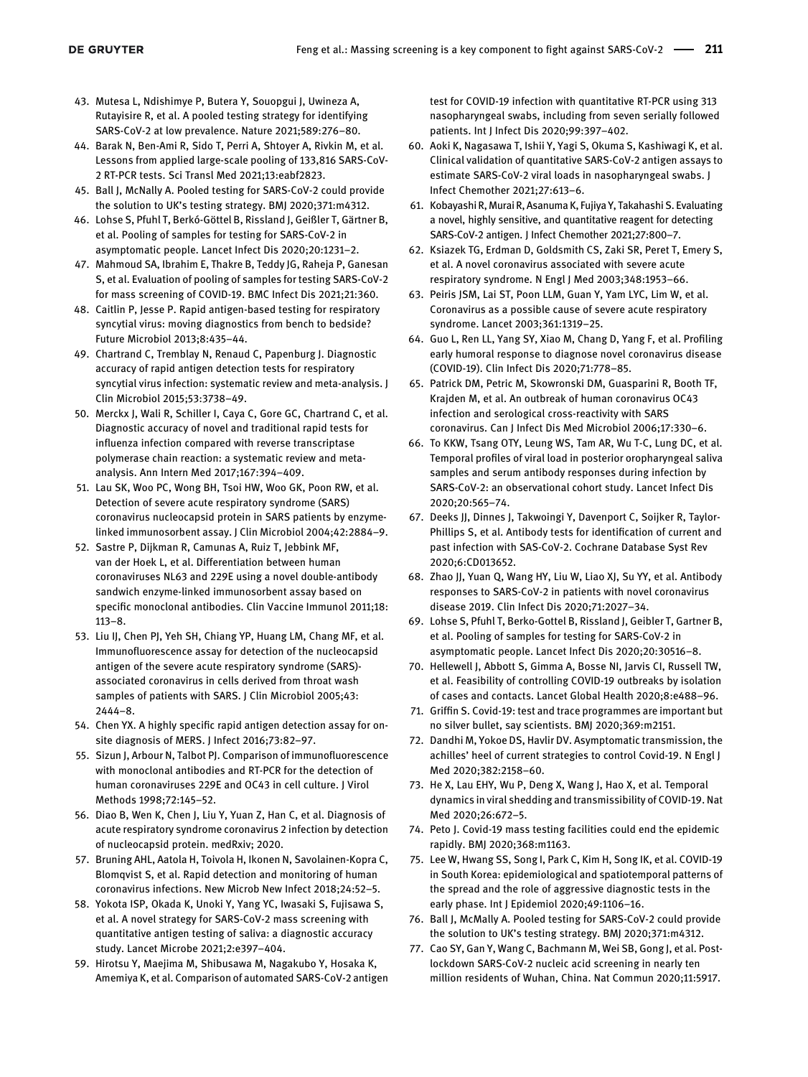- <span id="page-14-0"></span>43. Mutesa L, Ndishimye P, Butera Y, Souopgui J, Uwineza A, Rutayisire R, et al. A pooled testing strategy for identifying SARS-CoV-2 at low prevalence. Nature 2021;589:276–80.
- <span id="page-14-1"></span>44. Barak N, Ben-Ami R, Sido T, Perri A, Shtoyer A, Rivkin M, et al. Lessons from applied large-scale pooling of 133,816 SARS-CoV-2 RT-PCR tests. Sci Transl Med 2021;13:eabf2823.
- <span id="page-14-2"></span>45. Ball J, McNally A. Pooled testing for SARS-CoV-2 could provide the solution to UK's testing strategy. BMJ 2020;371:m4312.
- <span id="page-14-3"></span>46. Lohse S, Pfuhl T, Berkó-Göttel B, Rissland J, Geißler T, Gärtner B, et al. Pooling of samples for testing for SARS-CoV-2 in asymptomatic people. Lancet Infect Dis 2020;20:1231–2.
- <span id="page-14-4"></span>47. Mahmoud SA, Ibrahim E, Thakre B, Teddy JG, Raheja P, Ganesan S, et al. Evaluation of pooling of samples for testing SARS-CoV-2 for mass screening of COVID-19. BMC Infect Dis 2021;21:360.
- <span id="page-14-5"></span>48. Caitlin P, Jesse P. Rapid antigen-based testing for respiratory syncytial virus: moving diagnostics from bench to bedside? Future Microbiol 2013;8:435–44.
- <span id="page-14-6"></span>49. Chartrand C, Tremblay N, Renaud C, Papenburg J. Diagnostic accuracy of rapid antigen detection tests for respiratory syncytial virus infection: systematic review and meta-analysis. J Clin Microbiol 2015;53:3738–49.
- <span id="page-14-7"></span>50. Merckx J, Wali R, Schiller I, Caya C, Gore GC, Chartrand C, et al. Diagnostic accuracy of novel and traditional rapid tests for influenza infection compared with reverse transcriptase polymerase chain reaction: a systematic review and metaanalysis. Ann Intern Med 2017;167:394–409.
- <span id="page-14-8"></span>51. Lau SK, Woo PC, Wong BH, Tsoi HW, Woo GK, Poon RW, et al. Detection of severe acute respiratory syndrome (SARS) coronavirus nucleocapsid protein in SARS patients by enzymelinked immunosorbent assay. J Clin Microbiol 2004;42:2884–9.
- 52. Sastre P, Dijkman R, Camunas A, Ruiz T, Jebbink MF, van der Hoek L, et al. Differentiation between human coronaviruses NL63 and 229E using a novel double-antibody sandwich enzyme-linked immunosorbent assay based on specific monoclonal antibodies. Clin Vaccine Immunol 2011;18: 113–8.
- 53. Liu IJ, Chen PJ, Yeh SH, Chiang YP, Huang LM, Chang MF, et al. Immunofluorescence assay for detection of the nucleocapsid antigen of the severe acute respiratory syndrome (SARS) associated coronavirus in cells derived from throat wash samples of patients with SARS. J Clin Microbiol 2005;43: 2444–8.
- <span id="page-14-9"></span>54. Chen YX. A highly specific rapid antigen detection assay for onsite diagnosis of MERS. J Infect 2016;73:82–97.
- <span id="page-14-10"></span>55. Sizun J, Arbour N, Talbot PJ. Comparison of immunofluorescence with monoclonal antibodies and RT-PCR for the detection of human coronaviruses 229E and OC43 in cell culture. J Virol Methods 1998;72:145–52.
- <span id="page-14-11"></span>56. Diao B, Wen K, Chen J, Liu Y, Yuan Z, Han C, et al. Diagnosis of acute respiratory syndrome coronavirus 2 infection by detection of nucleocapsid protein. medRxiv; 2020.
- <span id="page-14-12"></span>57. Bruning AHL, Aatola H, Toivola H, Ikonen N, Savolainen-Kopra C, Blomqvist S, et al. Rapid detection and monitoring of human coronavirus infections. New Microb New Infect 2018;24:52–5.
- <span id="page-14-13"></span>58. Yokota ISP, Okada K, Unoki Y, Yang YC, Iwasaki S, Fujisawa S, et al. A novel strategy for SARS-CoV-2 mass screening with quantitative antigen testing of saliva: a diagnostic accuracy study. Lancet Microbe 2021;2:e397–404.
- <span id="page-14-14"></span>59. Hirotsu Y, Maejima M, Shibusawa M, Nagakubo Y, Hosaka K, Amemiya K, et al. Comparison of automated SARS-CoV-2 antigen

test for COVID-19 infection with quantitative RT-PCR using 313 nasopharyngeal swabs, including from seven serially followed patients. Int J Infect Dis 2020;99:397–402.

- <span id="page-14-15"></span>60. Aoki K, Nagasawa T, Ishii Y, Yagi S, Okuma S, Kashiwagi K, et al. Clinical validation of quantitative SARS-CoV-2 antigen assays to estimate SARS-CoV-2 viral loads in nasopharyngeal swabs. J Infect Chemother 2021;27:613–6.
- <span id="page-14-16"></span>61. Kobayashi R, Murai R, Asanuma K, Fujiya Y, Takahashi S. Evaluating a novel, highly sensitive, and quantitative reagent for detecting SARS-CoV-2 antigen. J Infect Chemother 2021;27:800–7.
- <span id="page-14-17"></span>62. Ksiazek TG, Erdman D, Goldsmith CS, Zaki SR, Peret T, Emery S, et al. A novel coronavirus associated with severe acute respiratory syndrome. N Engl J Med 2003;348:1953–66.
- <span id="page-14-18"></span>63. Peiris JSM, Lai ST, Poon LLM, Guan Y, Yam LYC, Lim W, et al. Coronavirus as a possible cause of severe acute respiratory syndrome. Lancet 2003;361:1319–25.
- <span id="page-14-19"></span>64. Guo L, Ren LL, Yang SY, Xiao M, Chang D, Yang F, et al. Profiling early humoral response to diagnose novel coronavirus disease (COVID-19). Clin Infect Dis 2020;71:778–85.
- <span id="page-14-20"></span>65. Patrick DM, Petric M, Skowronski DM, Guasparini R, Booth TF, Krajden M, et al. An outbreak of human coronavirus OC43 infection and serological cross-reactivity with SARS coronavirus. Can J Infect Dis Med Microbiol 2006;17:330–6.
- <span id="page-14-21"></span>66. To KKW, Tsang OTY, Leung WS, Tam AR, Wu T-C, Lung DC, et al. Temporal profiles of viral load in posterior oropharyngeal saliva samples and serum antibody responses during infection by SARS-CoV-2: an observational cohort study. Lancet Infect Dis 2020;20:565–74.
- <span id="page-14-22"></span>67. Deeks JJ, Dinnes J, Takwoingi Y, Davenport C, Soijker R, Taylor-Phillips S, et al. Antibody tests for identification of current and past infection with SAS-CoV-2. Cochrane Database Syst Rev 2020;6:CD013652.
- <span id="page-14-23"></span>68. Zhao JJ, Yuan Q, Wang HY, Liu W, Liao XJ, Su YY, et al. Antibody responses to SARS-CoV-2 in patients with novel coronavirus disease 2019. Clin Infect Dis 2020;71:2027–34.
- <span id="page-14-24"></span>69. Lohse S, Pfuhl T, Berko-Gottel B, Rissland J, Geibler T, Gartner B, et al. Pooling of samples for testing for SARS-CoV-2 in asymptomatic people. Lancet Infect Dis 2020;20:30516–8.
- <span id="page-14-25"></span>70. Hellewell J, Abbott S, Gimma A, Bosse NI, Jarvis CI, Russell TW, et al. Feasibility of controlling COVID-19 outbreaks by isolation of cases and contacts. Lancet Global Health 2020;8:e488–96.
- <span id="page-14-26"></span>71. Griffin S. Covid-19: test and trace programmes are important but no silver bullet, say scientists. BMJ 2020;369:m2151.
- <span id="page-14-27"></span>72. Dandhi M, Yokoe DS, Havlir DV. Asymptomatic transmission, the achilles' heel of current strategies to control Covid-19. N Engl J Med 2020;382:2158–60.
- <span id="page-14-28"></span>73. He X, Lau EHY, Wu P, Deng X, Wang J, Hao X, et al. Temporal dynamics in viral shedding and transmissibility of COVID-19. Nat Med 2020;26:672–5.
- <span id="page-14-29"></span>74. Peto J. Covid-19 mass testing facilities could end the epidemic rapidly. BMJ 2020;368:m1163.
- <span id="page-14-30"></span>75. Lee W, Hwang SS, Song I, Park C, Kim H, Song IK, et al. COVID-19 in South Korea: epidemiological and spatiotemporal patterns of the spread and the role of aggressive diagnostic tests in the early phase. Int J Epidemiol 2020;49:1106–16.
- <span id="page-14-31"></span>76. Ball J, McMally A. Pooled testing for SARS-CoV-2 could provide the solution to UK's testing strategy. BMJ 2020;371:m4312.
- <span id="page-14-32"></span>77. Cao SY, Gan Y, Wang C, Bachmann M, Wei SB, Gong J, et al. Postlockdown SARS-CoV-2 nucleic acid screening in nearly ten million residents of Wuhan, China. Nat Commun 2020;11:5917.